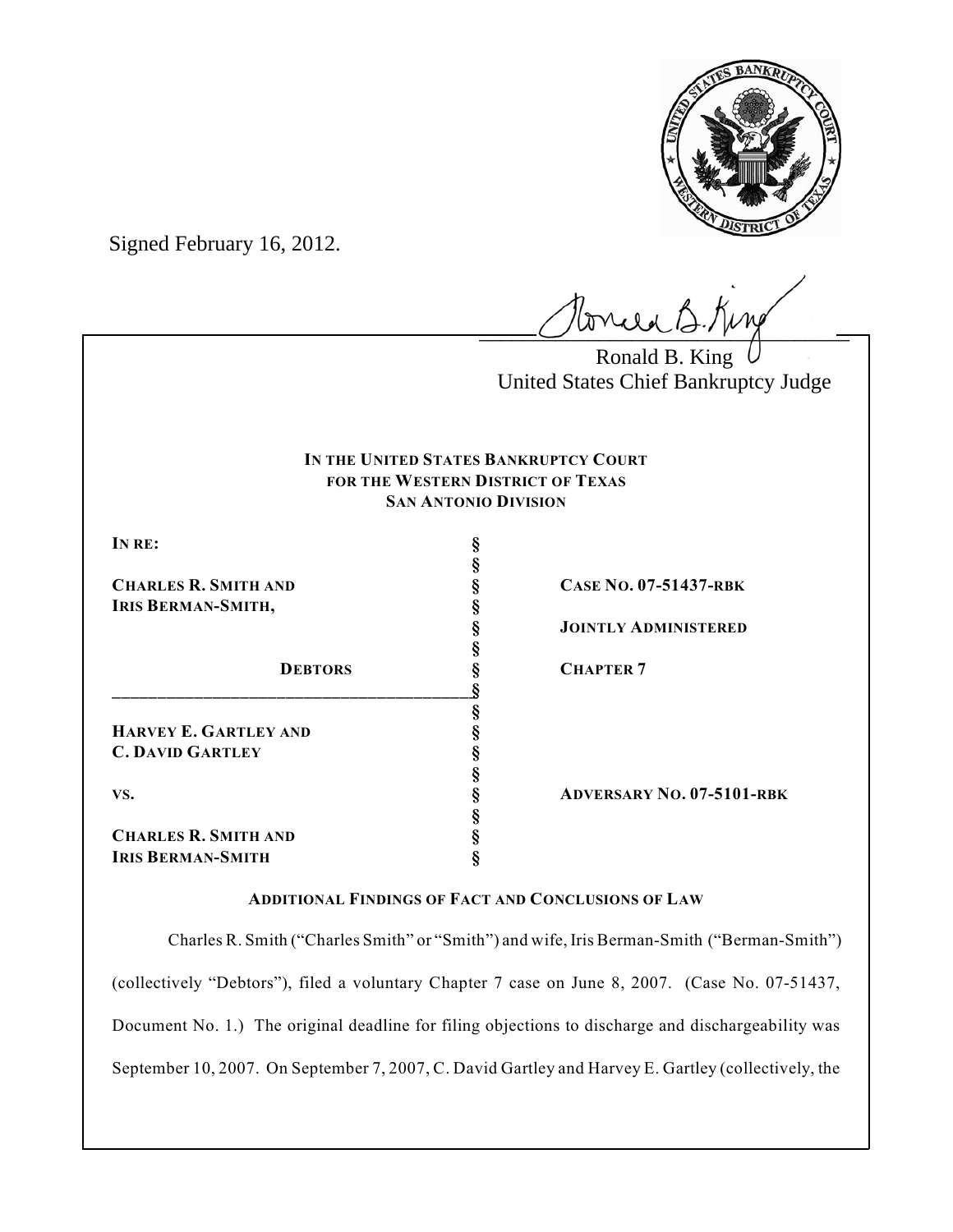

Signed February 16, 2012.

 $l$ onced B.Kin

Ronald B. King United States Chief Bankruptcy Judge

# **IN THE UNITED STATES BANKRUPTCY COURT FOR THE WESTERN DISTRICT OF TEXAS SAN ANTONIO DIVISION**

**§**

**§**

**§**

**§**

**§**

**IRIS BERMAN-SMITH, §**

**\_\_\_\_\_\_\_\_\_\_\_\_\_\_\_\_\_\_\_\_\_\_\_\_\_\_\_\_\_\_\_\_\_\_\_\_\_\_\_\_§ HARVEY E. GARTLEY AND §**

**C. DAVID GARTLEY §**

**CHARLES R. SMITH AND § IRIS BERMAN-SMITH §**

**CHARLES R. SMITH AND § CASE NO. 07-51437-RBK**

**§ JOINTLY ADMINISTERED**

**DEBTORS § CHAPTER 7** 

**VS. § ADVERSARY NO. 07-5101-RBK**

# **ADDITIONAL FINDINGS OF FACT AND CONCLUSIONS OF LAW**

Charles R. Smith ("Charles Smith" or "Smith") and wife, Iris Berman-Smith ("Berman-Smith") (collectively "Debtors"), filed a voluntary Chapter 7 case on June 8, 2007. (Case No. 07-51437, Document No. 1.) The original deadline for filing objections to discharge and dischargeability was September 10, 2007. On September 7, 2007, C. David Gartley and Harvey E. Gartley (collectively, the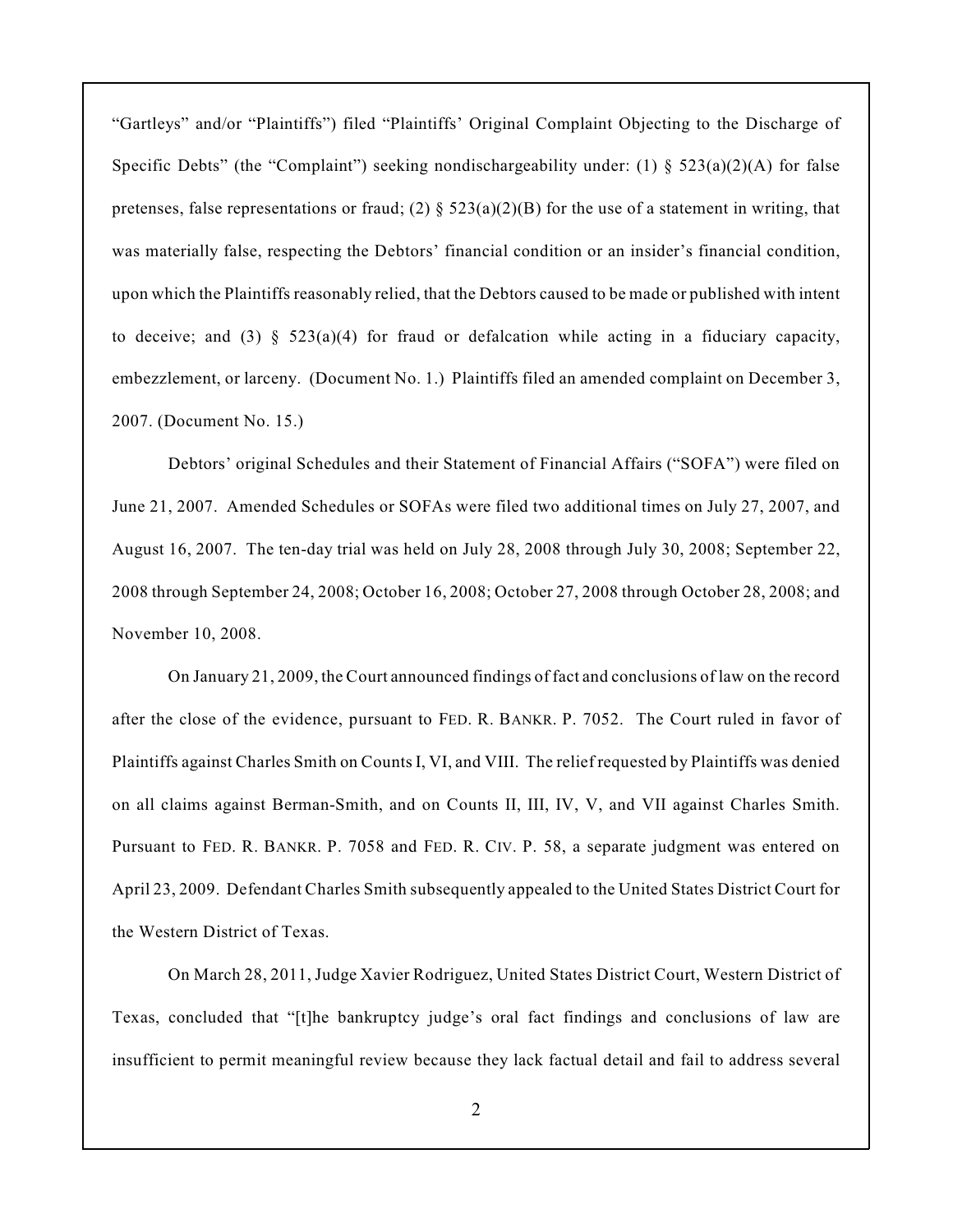"Gartleys" and/or "Plaintiffs") filed "Plaintiffs' Original Complaint Objecting to the Discharge of Specific Debts" (the "Complaint") seeking nondischargeability under: (1)  $\S$  523(a)(2)(A) for false pretenses, false representations or fraud; (2)  $\S 523(a)(2)(B)$  for the use of a statement in writing, that was materially false, respecting the Debtors' financial condition or an insider's financial condition, upon which the Plaintiffs reasonably relied, that the Debtors caused to be made or published with intent to deceive; and (3) §  $523(a)(4)$  for fraud or defalcation while acting in a fiduciary capacity, embezzlement, or larceny. (Document No. 1.) Plaintiffs filed an amended complaint on December 3, 2007. (Document No. 15.)

Debtors' original Schedules and their Statement of Financial Affairs ("SOFA") were filed on June 21, 2007. Amended Schedules or SOFAs were filed two additional times on July 27, 2007, and August 16, 2007. The ten-day trial was held on July 28, 2008 through July 30, 2008; September 22, 2008 through September 24, 2008; October 16, 2008; October 27, 2008 through October 28, 2008; and November 10, 2008.

On January 21, 2009, the Court announced findings of fact and conclusions of law on the record after the close of the evidence, pursuant to FED. R. BANKR. P. 7052. The Court ruled in favor of Plaintiffs against Charles Smith on Counts I, VI, and VIII. The relief requested by Plaintiffs was denied on all claims against Berman-Smith, and on Counts II, III, IV, V, and VII against Charles Smith. Pursuant to FED. R. BANKR. P. 7058 and FED. R. CIV. P. 58, a separate judgment was entered on April 23, 2009. Defendant Charles Smith subsequently appealed to the United States District Court for the Western District of Texas.

On March 28, 2011, Judge Xavier Rodriguez, United States District Court, Western District of Texas, concluded that "[t]he bankruptcy judge's oral fact findings and conclusions of law are insufficient to permit meaningful review because they lack factual detail and fail to address several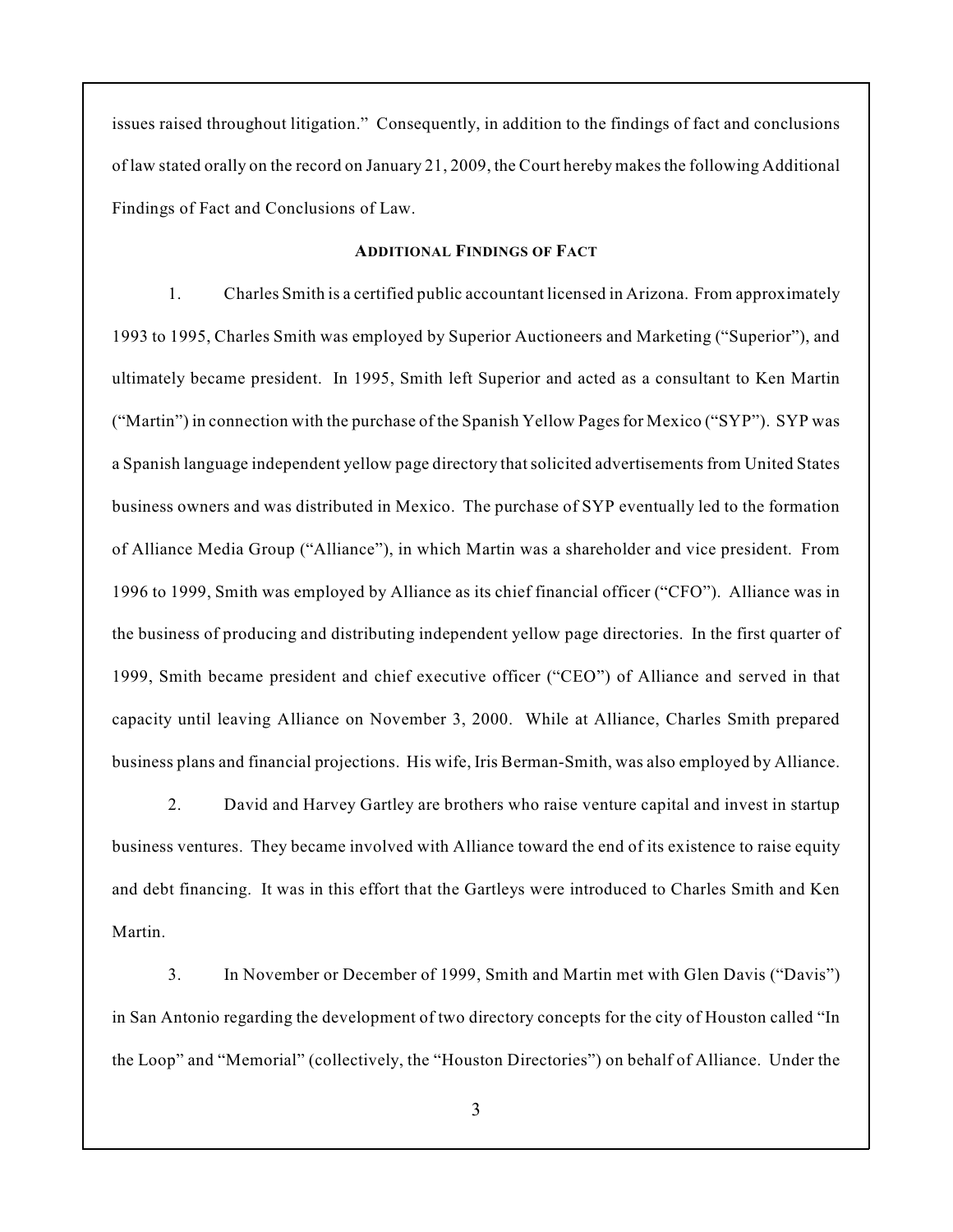issues raised throughout litigation." Consequently, in addition to the findings of fact and conclusions of law stated orally on the record on January 21, 2009, the Court hereby makes the following Additional Findings of Fact and Conclusions of Law.

# **ADDITIONAL FINDINGS OF FACT**

1. Charles Smith is a certified public accountant licensed in Arizona. From approximately 1993 to 1995, Charles Smith was employed by Superior Auctioneers and Marketing ("Superior"), and ultimately became president. In 1995, Smith left Superior and acted as a consultant to Ken Martin ("Martin") in connection with the purchase of the Spanish Yellow Pages for Mexico ("SYP"). SYP was a Spanish language independent yellow page directory that solicited advertisements from United States business owners and was distributed in Mexico. The purchase of SYP eventually led to the formation of Alliance Media Group ("Alliance"), in which Martin was a shareholder and vice president. From 1996 to 1999, Smith was employed by Alliance as its chief financial officer ("CFO"). Alliance was in the business of producing and distributing independent yellow page directories. In the first quarter of 1999, Smith became president and chief executive officer ("CEO") of Alliance and served in that capacity until leaving Alliance on November 3, 2000. While at Alliance, Charles Smith prepared business plans and financial projections. His wife, Iris Berman-Smith, was also employed by Alliance.

2. David and Harvey Gartley are brothers who raise venture capital and invest in startup business ventures. They became involved with Alliance toward the end of its existence to raise equity and debt financing. It was in this effort that the Gartleys were introduced to Charles Smith and Ken Martin.

3. In November or December of 1999, Smith and Martin met with Glen Davis ("Davis") in San Antonio regarding the development of two directory concepts for the city of Houston called "In the Loop" and "Memorial" (collectively, the "Houston Directories") on behalf of Alliance. Under the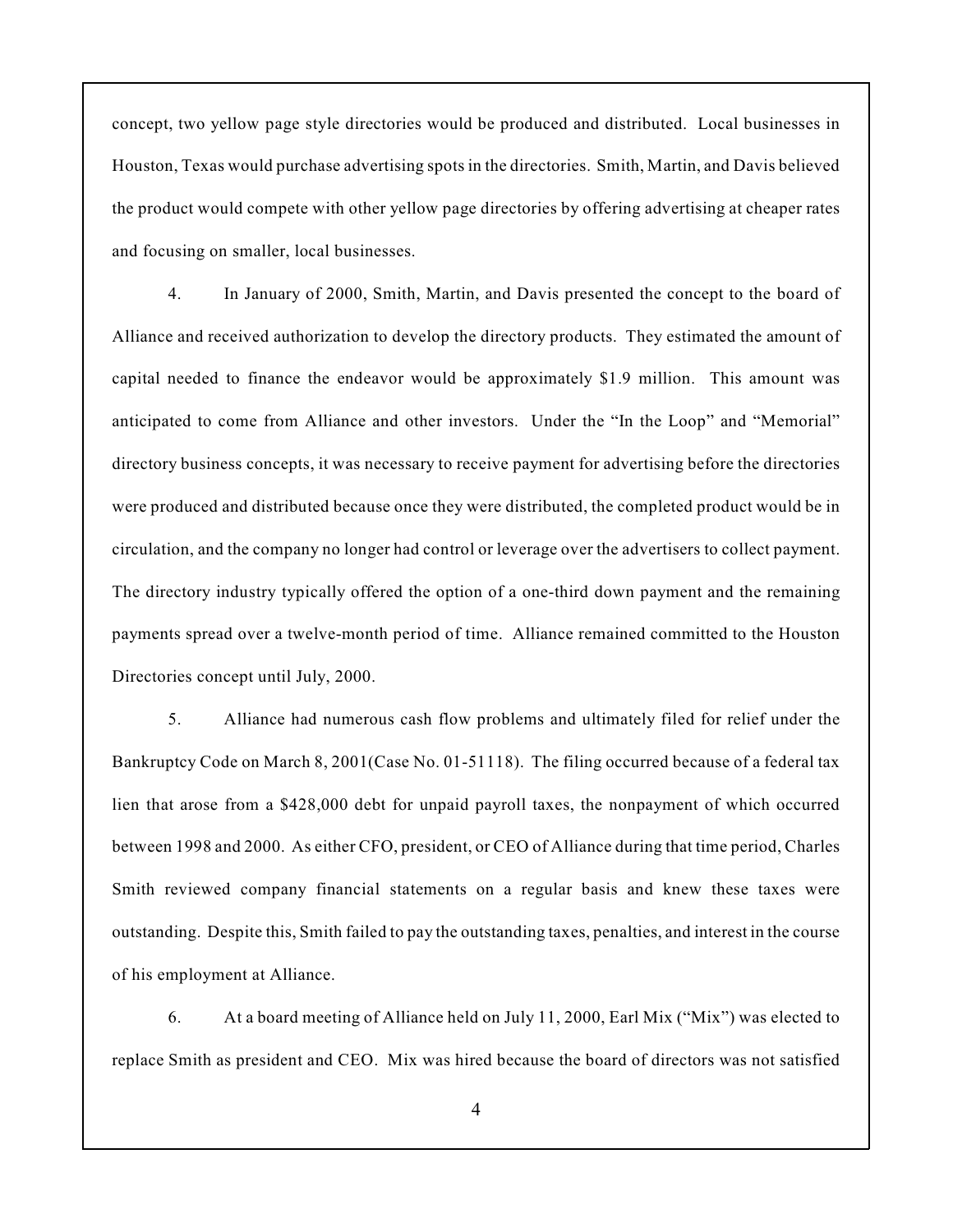concept, two yellow page style directories would be produced and distributed. Local businesses in Houston, Texas would purchase advertising spots in the directories. Smith, Martin, and Davis believed the product would compete with other yellow page directories by offering advertising at cheaper rates and focusing on smaller, local businesses.

4. In January of 2000, Smith, Martin, and Davis presented the concept to the board of Alliance and received authorization to develop the directory products. They estimated the amount of capital needed to finance the endeavor would be approximately \$1.9 million. This amount was anticipated to come from Alliance and other investors. Under the "In the Loop" and "Memorial" directory business concepts, it was necessary to receive payment for advertising before the directories were produced and distributed because once they were distributed, the completed product would be in circulation, and the company no longer had control or leverage over the advertisers to collect payment. The directory industry typically offered the option of a one-third down payment and the remaining payments spread over a twelve-month period of time. Alliance remained committed to the Houston Directories concept until July, 2000.

5. Alliance had numerous cash flow problems and ultimately filed for relief under the Bankruptcy Code on March 8, 2001(Case No. 01-51118). The filing occurred because of a federal tax lien that arose from a \$428,000 debt for unpaid payroll taxes, the nonpayment of which occurred between 1998 and 2000. As either CFO, president, or CEO of Alliance during that time period, Charles Smith reviewed company financial statements on a regular basis and knew these taxes were outstanding. Despite this, Smith failed to pay the outstanding taxes, penalties, and interest in the course of his employment at Alliance.

6. At a board meeting of Alliance held on July 11, 2000, Earl Mix ("Mix") was elected to replace Smith as president and CEO. Mix was hired because the board of directors was not satisfied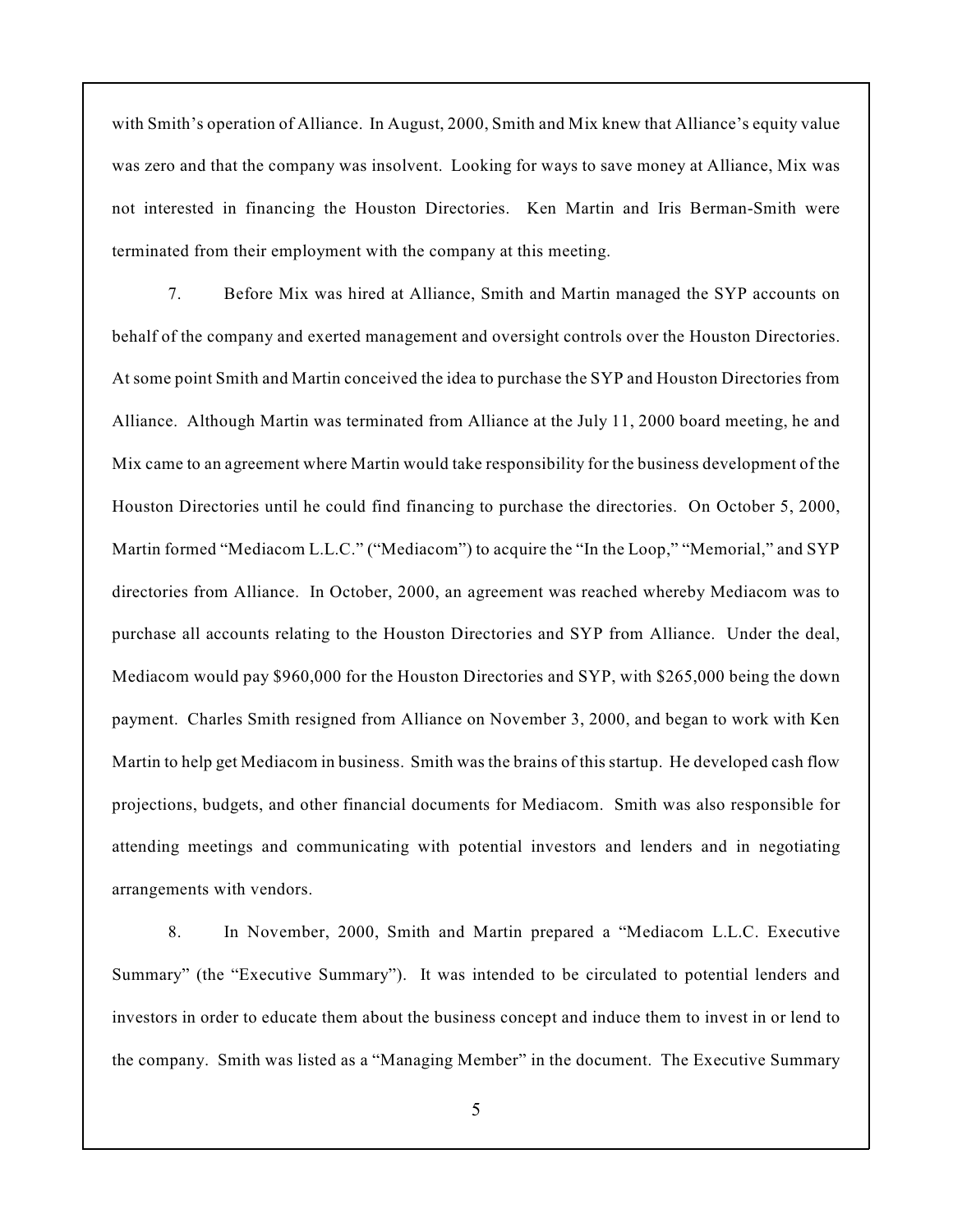with Smith's operation of Alliance. In August, 2000, Smith and Mix knew that Alliance's equity value was zero and that the company was insolvent. Looking for ways to save money at Alliance, Mix was not interested in financing the Houston Directories. Ken Martin and Iris Berman-Smith were terminated from their employment with the company at this meeting.

7. Before Mix was hired at Alliance, Smith and Martin managed the SYP accounts on behalf of the company and exerted management and oversight controls over the Houston Directories. At some point Smith and Martin conceived the idea to purchase the SYP and Houston Directories from Alliance. Although Martin was terminated from Alliance at the July 11, 2000 board meeting, he and Mix came to an agreement where Martin would take responsibility for the business development of the Houston Directories until he could find financing to purchase the directories. On October 5, 2000, Martin formed "Mediacom L.L.C." ("Mediacom") to acquire the "In the Loop," "Memorial," and SYP directories from Alliance. In October, 2000, an agreement was reached whereby Mediacom was to purchase all accounts relating to the Houston Directories and SYP from Alliance. Under the deal, Mediacom would pay \$960,000 for the Houston Directories and SYP, with \$265,000 being the down payment. Charles Smith resigned from Alliance on November 3, 2000, and began to work with Ken Martin to help get Mediacom in business. Smith was the brains of this startup. He developed cash flow projections, budgets, and other financial documents for Mediacom. Smith was also responsible for attending meetings and communicating with potential investors and lenders and in negotiating arrangements with vendors.

8. In November, 2000, Smith and Martin prepared a "Mediacom L.L.C. Executive Summary" (the "Executive Summary"). It was intended to be circulated to potential lenders and investors in order to educate them about the business concept and induce them to invest in or lend to the company. Smith was listed as a "Managing Member" in the document. The Executive Summary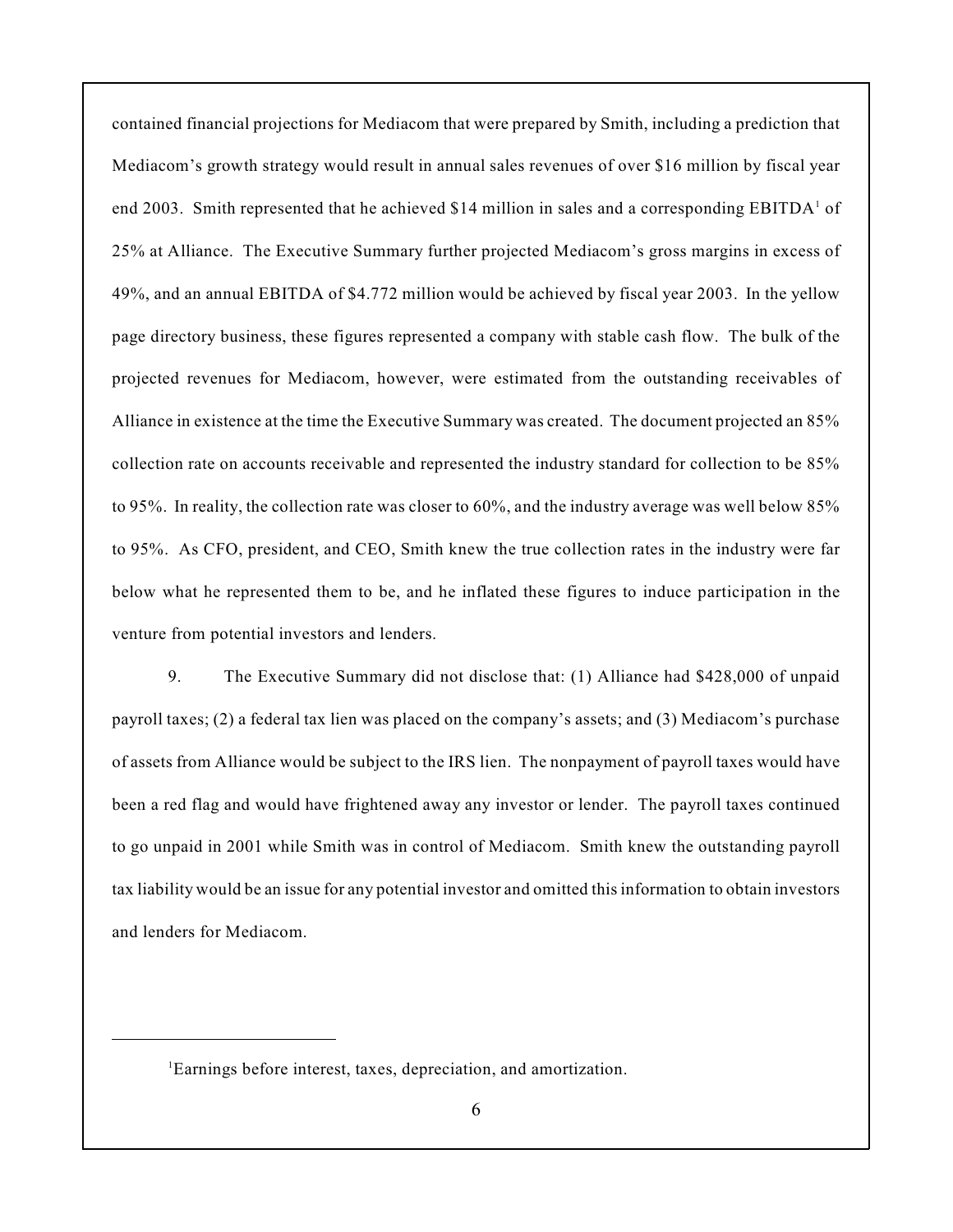contained financial projections for Mediacom that were prepared by Smith, including a prediction that Mediacom's growth strategy would result in annual sales revenues of over \$16 million by fiscal year end 2003. Smith represented that he achieved \$14 million in sales and a corresponding  $EBITDA<sup>1</sup>$  of 25% at Alliance. The Executive Summary further projected Mediacom's gross margins in excess of 49%, and an annual EBITDA of \$4.772 million would be achieved by fiscal year 2003. In the yellow page directory business, these figures represented a company with stable cash flow. The bulk of the projected revenues for Mediacom, however, were estimated from the outstanding receivables of Alliance in existence at the time the Executive Summary was created. The document projected an 85% collection rate on accounts receivable and represented the industry standard for collection to be 85% to 95%. In reality, the collection rate was closer to 60%, and the industry average was well below 85% to 95%. As CFO, president, and CEO, Smith knew the true collection rates in the industry were far below what he represented them to be, and he inflated these figures to induce participation in the venture from potential investors and lenders.

9. The Executive Summary did not disclose that: (1) Alliance had \$428,000 of unpaid payroll taxes; (2) a federal tax lien was placed on the company's assets; and (3) Mediacom's purchase of assets from Alliance would be subject to the IRS lien. The nonpayment of payroll taxes would have been a red flag and would have frightened away any investor or lender. The payroll taxes continued to go unpaid in 2001 while Smith was in control of Mediacom. Smith knew the outstanding payroll tax liability would be an issue for any potential investor and omitted this information to obtain investors and lenders for Mediacom.

Earnings before interest, taxes, depreciation, and amortization. <sup>1</sup>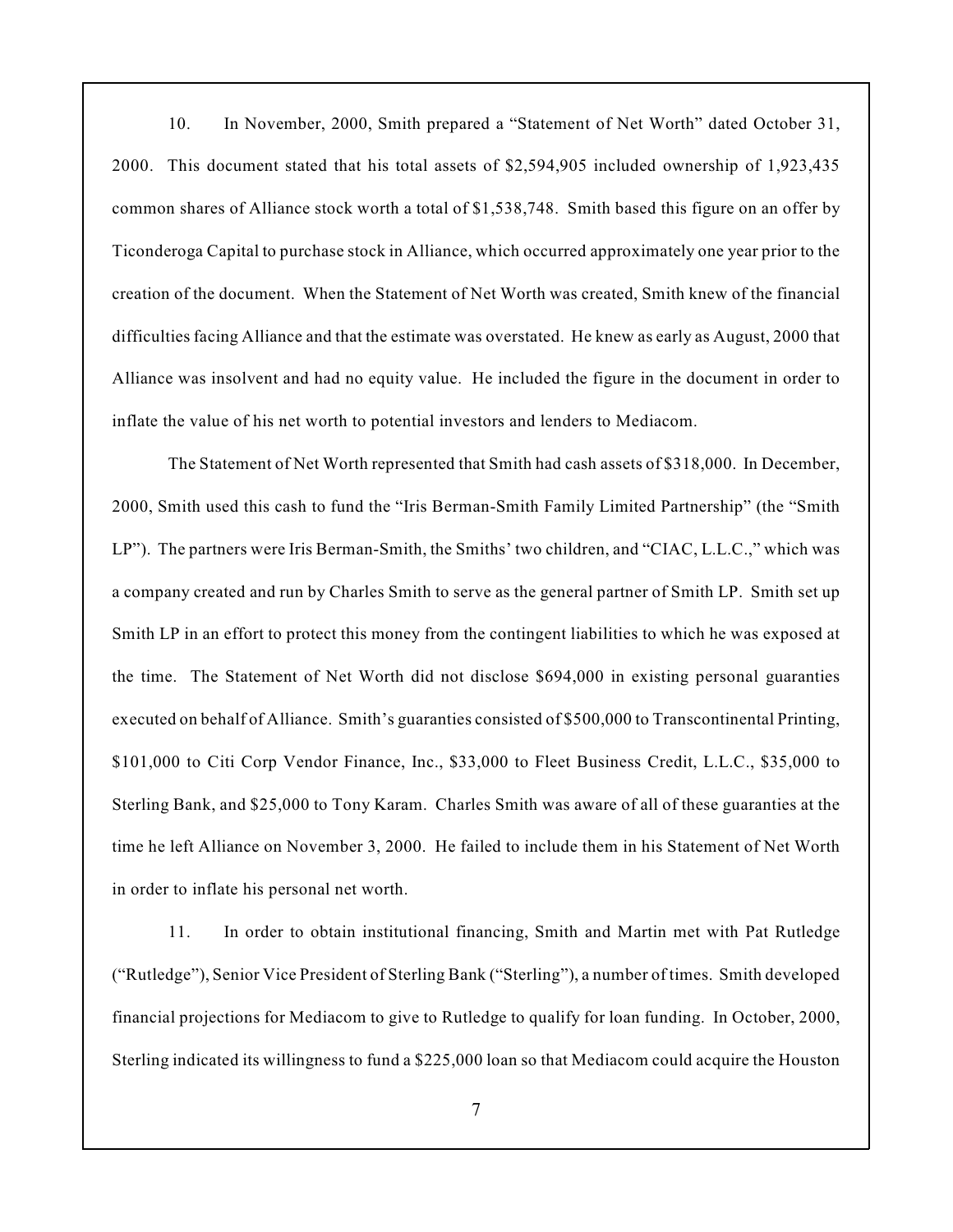10. In November, 2000, Smith prepared a "Statement of Net Worth" dated October 31, 2000. This document stated that his total assets of \$2,594,905 included ownership of 1,923,435 common shares of Alliance stock worth a total of \$1,538,748. Smith based this figure on an offer by Ticonderoga Capital to purchase stock in Alliance, which occurred approximately one year prior to the creation of the document. When the Statement of Net Worth was created, Smith knew of the financial difficulties facing Alliance and that the estimate was overstated. He knew as early as August, 2000 that Alliance was insolvent and had no equity value. He included the figure in the document in order to inflate the value of his net worth to potential investors and lenders to Mediacom.

The Statement of Net Worth represented that Smith had cash assets of \$318,000. In December, 2000, Smith used this cash to fund the "Iris Berman-Smith Family Limited Partnership" (the "Smith LP"). The partners were Iris Berman-Smith, the Smiths' two children, and "CIAC, L.L.C.," which was a company created and run by Charles Smith to serve as the general partner of Smith LP. Smith set up Smith LP in an effort to protect this money from the contingent liabilities to which he was exposed at the time. The Statement of Net Worth did not disclose \$694,000 in existing personal guaranties executed on behalf of Alliance. Smith's guaranties consisted of \$500,000 to Transcontinental Printing, \$101,000 to Citi Corp Vendor Finance, Inc., \$33,000 to Fleet Business Credit, L.L.C., \$35,000 to Sterling Bank, and \$25,000 to Tony Karam. Charles Smith was aware of all of these guaranties at the time he left Alliance on November 3, 2000. He failed to include them in his Statement of Net Worth in order to inflate his personal net worth.

11. In order to obtain institutional financing, Smith and Martin met with Pat Rutledge ("Rutledge"), Senior Vice President of Sterling Bank ("Sterling"), a number of times. Smith developed financial projections for Mediacom to give to Rutledge to qualify for loan funding. In October, 2000, Sterling indicated its willingness to fund a \$225,000 loan so that Mediacom could acquire the Houston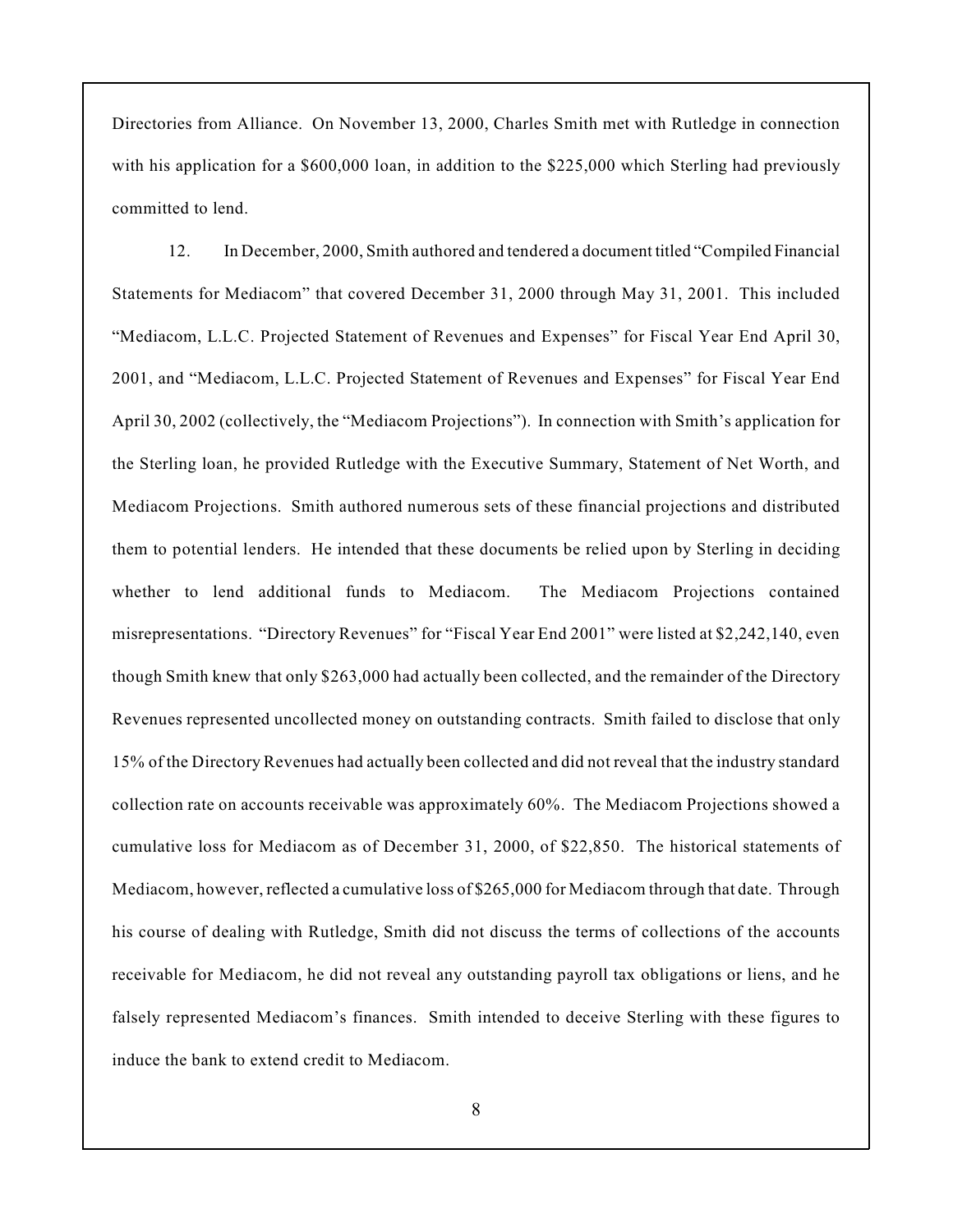Directories from Alliance. On November 13, 2000, Charles Smith met with Rutledge in connection with his application for a \$600,000 loan, in addition to the \$225,000 which Sterling had previously committed to lend.

12. In December, 2000, Smith authored and tendered a document titled "Compiled Financial Statements for Mediacom" that covered December 31, 2000 through May 31, 2001. This included "Mediacom, L.L.C. Projected Statement of Revenues and Expenses" for Fiscal Year End April 30, 2001, and "Mediacom, L.L.C. Projected Statement of Revenues and Expenses" for Fiscal Year End April 30, 2002 (collectively, the "Mediacom Projections"). In connection with Smith's application for the Sterling loan, he provided Rutledge with the Executive Summary, Statement of Net Worth, and Mediacom Projections. Smith authored numerous sets of these financial projections and distributed them to potential lenders. He intended that these documents be relied upon by Sterling in deciding whether to lend additional funds to Mediacom. The Mediacom Projections contained misrepresentations. "Directory Revenues" for "Fiscal Year End 2001" were listed at \$2,242,140, even though Smith knew that only \$263,000 had actually been collected, and the remainder of the Directory Revenues represented uncollected money on outstanding contracts. Smith failed to disclose that only 15% of the Directory Revenues had actually been collected and did not reveal that the industry standard collection rate on accounts receivable was approximately 60%. The Mediacom Projections showed a cumulative loss for Mediacom as of December 31, 2000, of \$22,850. The historical statements of Mediacom, however, reflected a cumulative loss of \$265,000 for Mediacom through that date. Through his course of dealing with Rutledge, Smith did not discuss the terms of collections of the accounts receivable for Mediacom, he did not reveal any outstanding payroll tax obligations or liens, and he falsely represented Mediacom's finances. Smith intended to deceive Sterling with these figures to induce the bank to extend credit to Mediacom.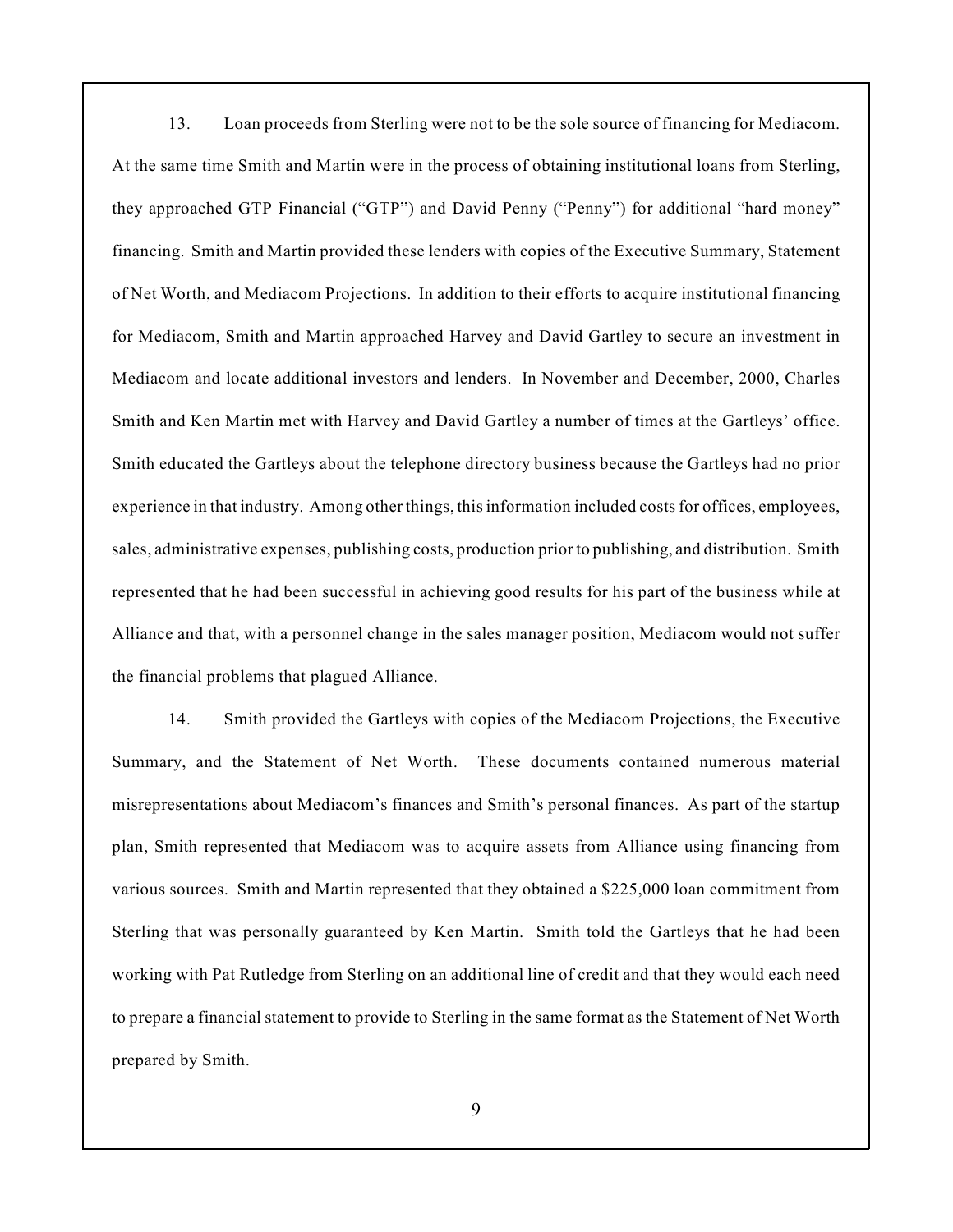13. Loan proceeds from Sterling were not to be the sole source of financing for Mediacom. At the same time Smith and Martin were in the process of obtaining institutional loans from Sterling, they approached GTP Financial ("GTP") and David Penny ("Penny") for additional "hard money" financing. Smith and Martin provided these lenders with copies of the Executive Summary, Statement of Net Worth, and Mediacom Projections. In addition to their efforts to acquire institutional financing for Mediacom, Smith and Martin approached Harvey and David Gartley to secure an investment in Mediacom and locate additional investors and lenders. In November and December, 2000, Charles Smith and Ken Martin met with Harvey and David Gartley a number of times at the Gartleys' office. Smith educated the Gartleys about the telephone directory business because the Gartleys had no prior experience in that industry. Among other things, this information included costs for offices, employees, sales, administrative expenses, publishing costs, production prior to publishing, and distribution. Smith represented that he had been successful in achieving good results for his part of the business while at Alliance and that, with a personnel change in the sales manager position, Mediacom would not suffer the financial problems that plagued Alliance.

14. Smith provided the Gartleys with copies of the Mediacom Projections, the Executive Summary, and the Statement of Net Worth. These documents contained numerous material misrepresentations about Mediacom's finances and Smith's personal finances. As part of the startup plan, Smith represented that Mediacom was to acquire assets from Alliance using financing from various sources. Smith and Martin represented that they obtained a \$225,000 loan commitment from Sterling that was personally guaranteed by Ken Martin. Smith told the Gartleys that he had been working with Pat Rutledge from Sterling on an additional line of credit and that they would each need to prepare a financial statement to provide to Sterling in the same format as the Statement of Net Worth prepared by Smith.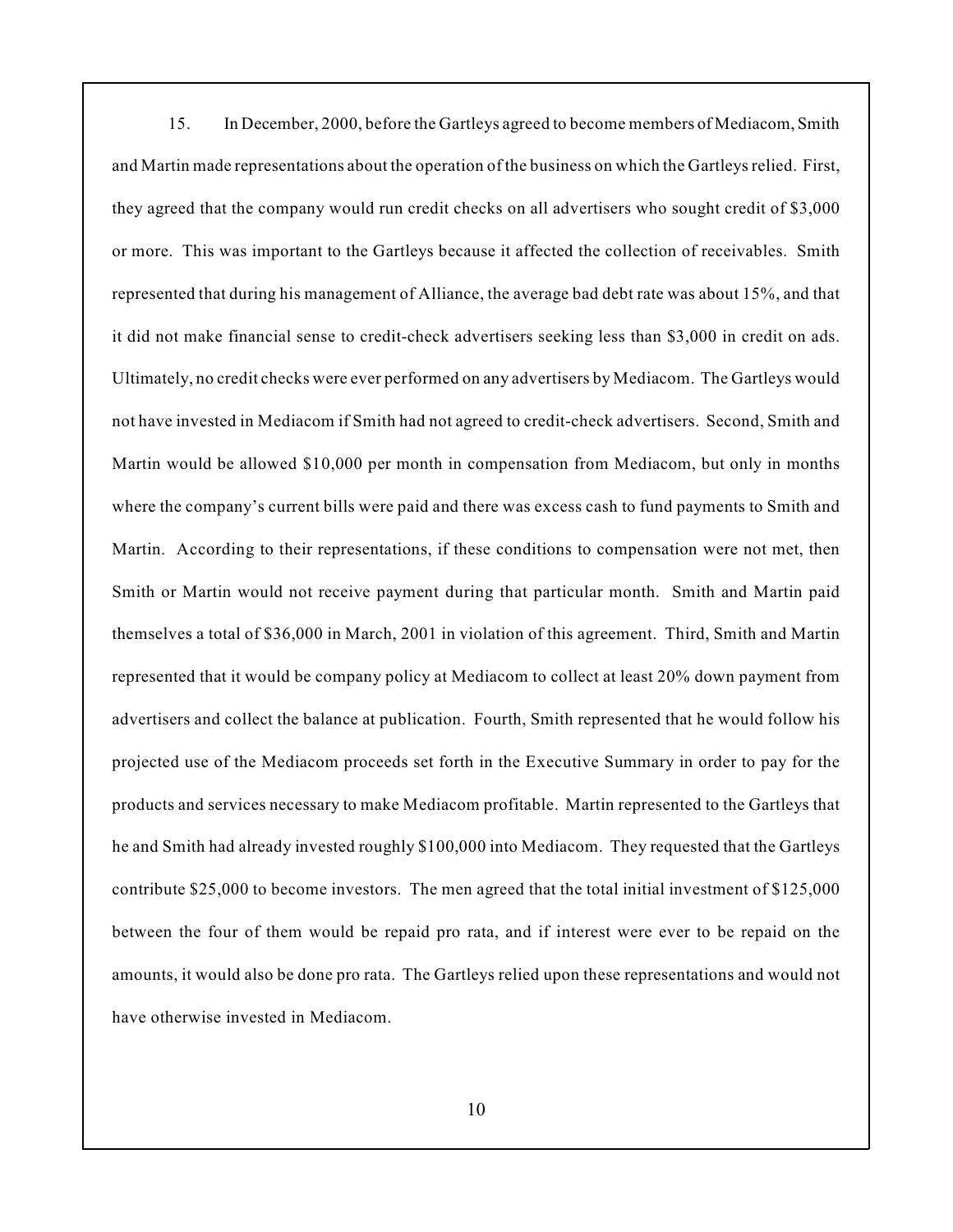15. In December, 2000, before the Gartleys agreed to become members of Mediacom, Smith and Martin made representations about the operation of the business on which the Gartleys relied. First, they agreed that the company would run credit checks on all advertisers who sought credit of \$3,000 or more. This was important to the Gartleys because it affected the collection of receivables. Smith represented that during his management of Alliance, the average bad debt rate was about 15%, and that it did not make financial sense to credit-check advertisers seeking less than \$3,000 in credit on ads. Ultimately, no credit checks were ever performed on any advertisers by Mediacom. The Gartleys would not have invested in Mediacom if Smith had not agreed to credit-check advertisers. Second, Smith and Martin would be allowed \$10,000 per month in compensation from Mediacom, but only in months where the company's current bills were paid and there was excess cash to fund payments to Smith and Martin. According to their representations, if these conditions to compensation were not met, then Smith or Martin would not receive payment during that particular month. Smith and Martin paid themselves a total of \$36,000 in March, 2001 in violation of this agreement. Third, Smith and Martin represented that it would be company policy at Mediacom to collect at least 20% down payment from advertisers and collect the balance at publication. Fourth, Smith represented that he would follow his projected use of the Mediacom proceeds set forth in the Executive Summary in order to pay for the products and services necessary to make Mediacom profitable. Martin represented to the Gartleys that he and Smith had already invested roughly \$100,000 into Mediacom. They requested that the Gartleys contribute \$25,000 to become investors. The men agreed that the total initial investment of \$125,000 between the four of them would be repaid pro rata, and if interest were ever to be repaid on the amounts, it would also be done pro rata. The Gartleys relied upon these representations and would not have otherwise invested in Mediacom.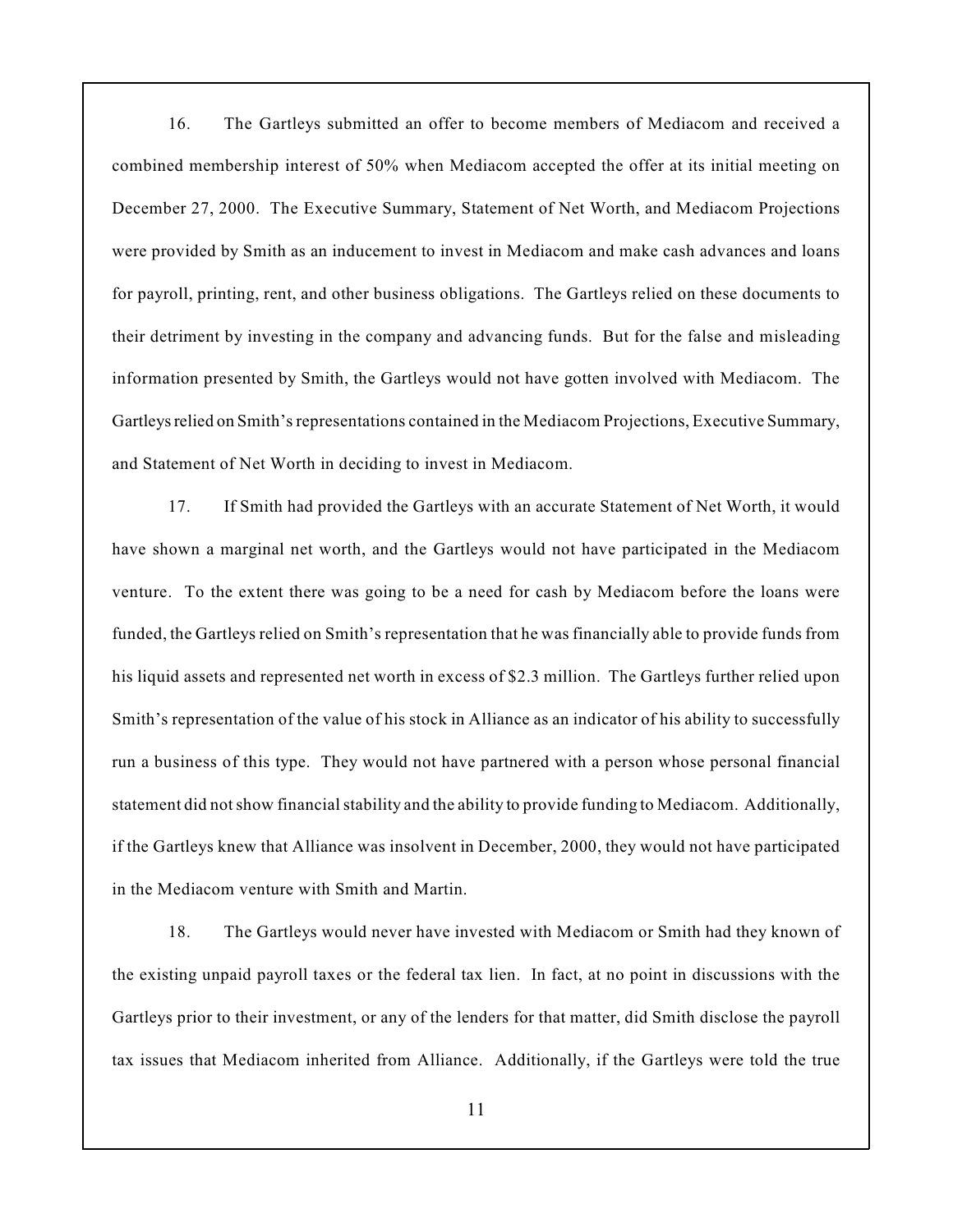16. The Gartleys submitted an offer to become members of Mediacom and received a combined membership interest of 50% when Mediacom accepted the offer at its initial meeting on December 27, 2000. The Executive Summary, Statement of Net Worth, and Mediacom Projections were provided by Smith as an inducement to invest in Mediacom and make cash advances and loans for payroll, printing, rent, and other business obligations. The Gartleys relied on these documents to their detriment by investing in the company and advancing funds. But for the false and misleading information presented by Smith, the Gartleys would not have gotten involved with Mediacom. The Gartleys relied on Smith's representations contained in the Mediacom Projections, Executive Summary, and Statement of Net Worth in deciding to invest in Mediacom.

17. If Smith had provided the Gartleys with an accurate Statement of Net Worth, it would have shown a marginal net worth, and the Gartleys would not have participated in the Mediacom venture. To the extent there was going to be a need for cash by Mediacom before the loans were funded, the Gartleys relied on Smith's representation that he was financially able to provide funds from his liquid assets and represented net worth in excess of \$2.3 million. The Gartleys further relied upon Smith's representation of the value of his stock in Alliance as an indicator of his ability to successfully run a business of this type. They would not have partnered with a person whose personal financial statement did not show financial stability and the ability to provide funding to Mediacom. Additionally, if the Gartleys knew that Alliance was insolvent in December, 2000, they would not have participated in the Mediacom venture with Smith and Martin.

18. The Gartleys would never have invested with Mediacom or Smith had they known of the existing unpaid payroll taxes or the federal tax lien. In fact, at no point in discussions with the Gartleys prior to their investment, or any of the lenders for that matter, did Smith disclose the payroll tax issues that Mediacom inherited from Alliance. Additionally, if the Gartleys were told the true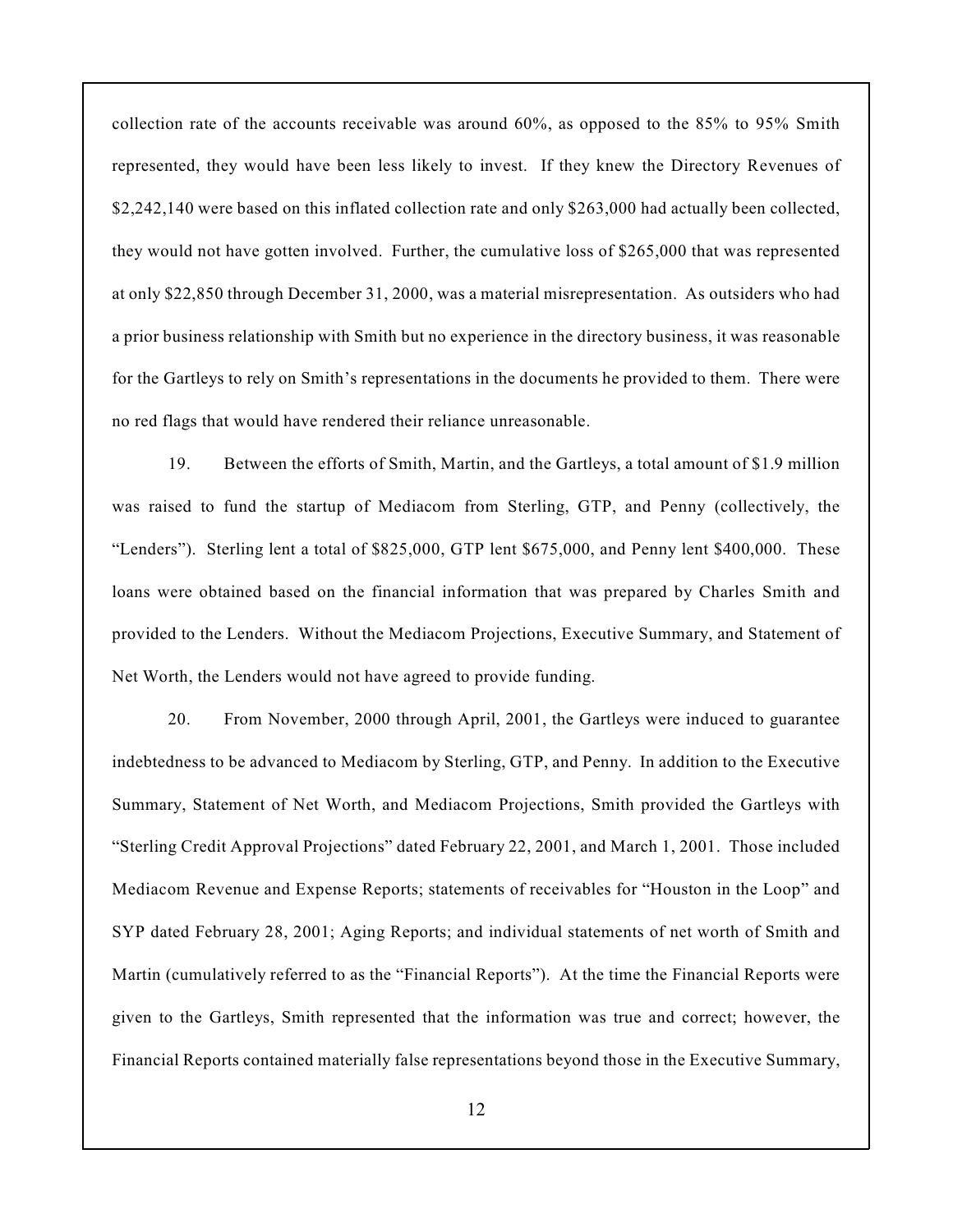collection rate of the accounts receivable was around 60%, as opposed to the 85% to 95% Smith represented, they would have been less likely to invest. If they knew the Directory Revenues of \$2,242,140 were based on this inflated collection rate and only \$263,000 had actually been collected, they would not have gotten involved. Further, the cumulative loss of \$265,000 that was represented at only \$22,850 through December 31, 2000, was a material misrepresentation. As outsiders who had a prior business relationship with Smith but no experience in the directory business, it was reasonable for the Gartleys to rely on Smith's representations in the documents he provided to them. There were no red flags that would have rendered their reliance unreasonable.

19. Between the efforts of Smith, Martin, and the Gartleys, a total amount of \$1.9 million was raised to fund the startup of Mediacom from Sterling, GTP, and Penny (collectively, the "Lenders"). Sterling lent a total of \$825,000, GTP lent \$675,000, and Penny lent \$400,000. These loans were obtained based on the financial information that was prepared by Charles Smith and provided to the Lenders. Without the Mediacom Projections, Executive Summary, and Statement of Net Worth, the Lenders would not have agreed to provide funding.

20. From November, 2000 through April, 2001, the Gartleys were induced to guarantee indebtedness to be advanced to Mediacom by Sterling, GTP, and Penny. In addition to the Executive Summary, Statement of Net Worth, and Mediacom Projections, Smith provided the Gartleys with "Sterling Credit Approval Projections" dated February 22, 2001, and March 1, 2001. Those included Mediacom Revenue and Expense Reports; statements of receivables for "Houston in the Loop" and SYP dated February 28, 2001; Aging Reports; and individual statements of net worth of Smith and Martin (cumulatively referred to as the "Financial Reports"). At the time the Financial Reports were given to the Gartleys, Smith represented that the information was true and correct; however, the Financial Reports contained materially false representations beyond those in the Executive Summary,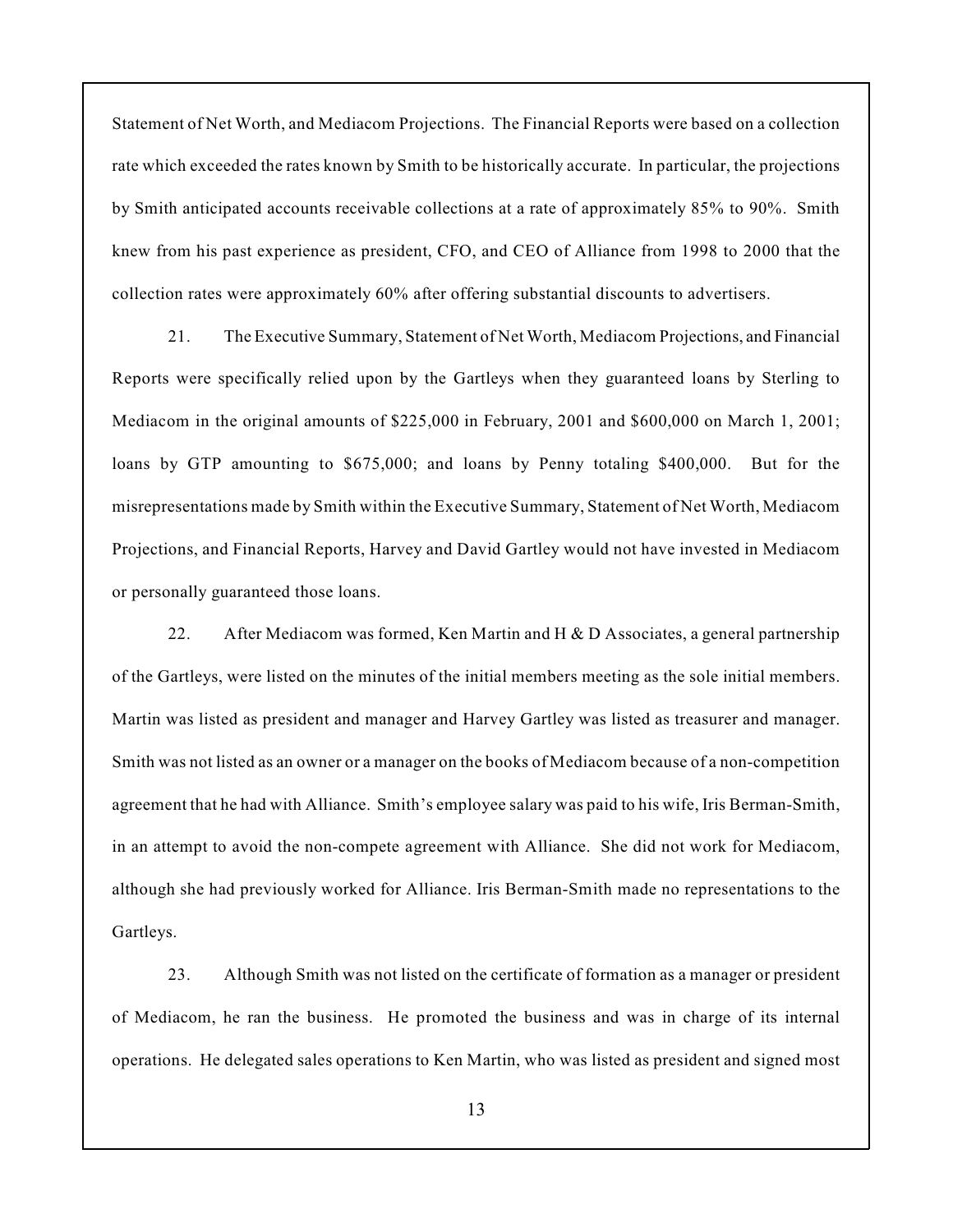Statement of Net Worth, and Mediacom Projections. The Financial Reports were based on a collection rate which exceeded the rates known by Smith to be historically accurate. In particular, the projections by Smith anticipated accounts receivable collections at a rate of approximately 85% to 90%. Smith knew from his past experience as president, CFO, and CEO of Alliance from 1998 to 2000 that the collection rates were approximately 60% after offering substantial discounts to advertisers.

21. The Executive Summary, Statement of Net Worth, Mediacom Projections, and Financial Reports were specifically relied upon by the Gartleys when they guaranteed loans by Sterling to Mediacom in the original amounts of \$225,000 in February, 2001 and \$600,000 on March 1, 2001; loans by GTP amounting to \$675,000; and loans by Penny totaling \$400,000. But for the misrepresentations made by Smith within the Executive Summary, Statement of Net Worth, Mediacom Projections, and Financial Reports, Harvey and David Gartley would not have invested in Mediacom or personally guaranteed those loans.

22. After Mediacom was formed, Ken Martin and H  $\&$  D Associates, a general partnership of the Gartleys, were listed on the minutes of the initial members meeting as the sole initial members. Martin was listed as president and manager and Harvey Gartley was listed as treasurer and manager. Smith was not listed as an owner or a manager on the books of Mediacom because of a non-competition agreement that he had with Alliance. Smith's employee salary was paid to his wife, Iris Berman-Smith, in an attempt to avoid the non-compete agreement with Alliance. She did not work for Mediacom, although she had previously worked for Alliance. Iris Berman-Smith made no representations to the Gartleys.

23. Although Smith was not listed on the certificate of formation as a manager or president of Mediacom, he ran the business. He promoted the business and was in charge of its internal operations. He delegated sales operations to Ken Martin, who was listed as president and signed most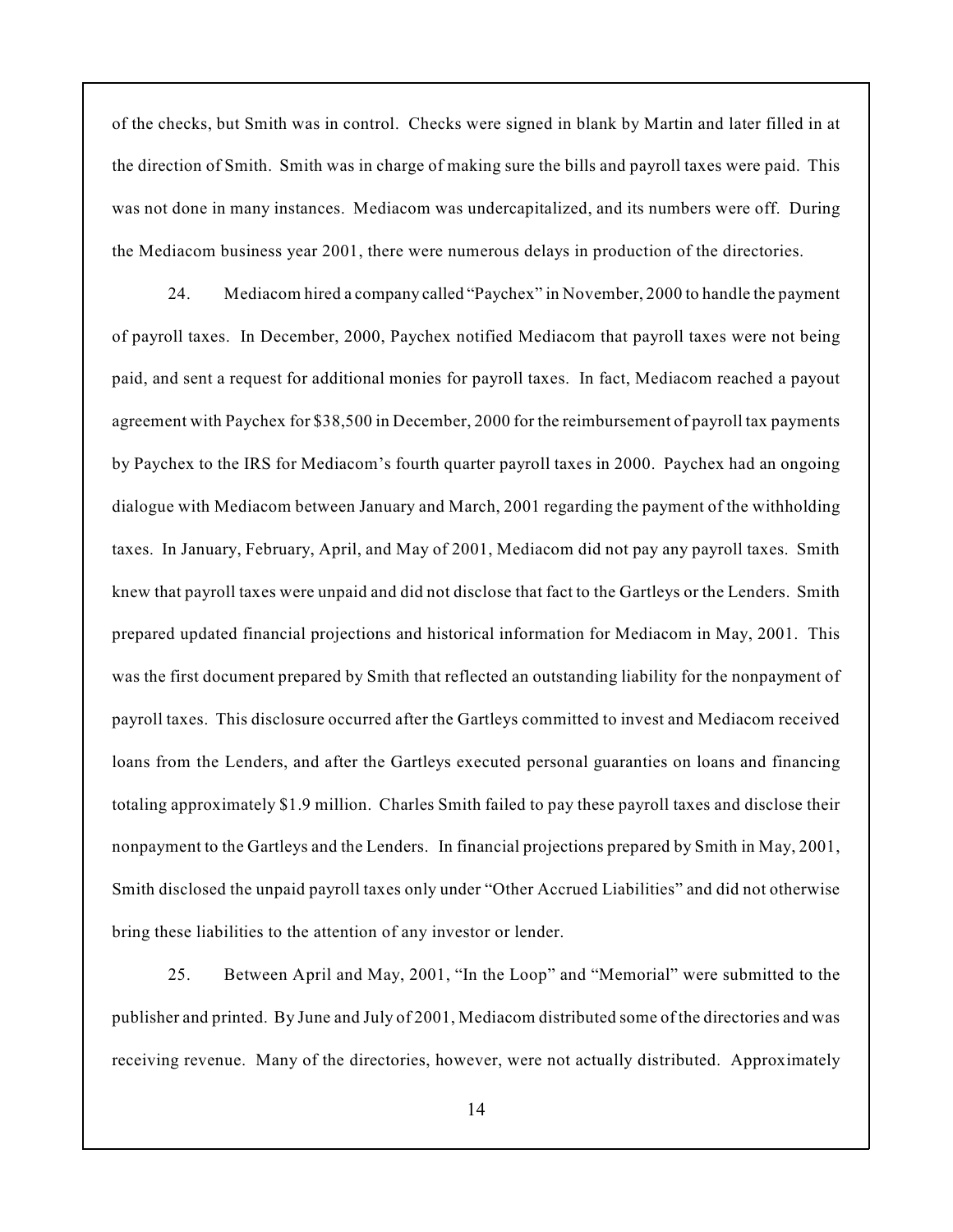of the checks, but Smith was in control. Checks were signed in blank by Martin and later filled in at the direction of Smith. Smith was in charge of making sure the bills and payroll taxes were paid. This was not done in many instances. Mediacom was undercapitalized, and its numbers were off. During the Mediacom business year 2001, there were numerous delays in production of the directories.

24. Mediacom hired a company called "Paychex" in November, 2000 to handle the payment of payroll taxes. In December, 2000, Paychex notified Mediacom that payroll taxes were not being paid, and sent a request for additional monies for payroll taxes. In fact, Mediacom reached a payout agreement with Paychex for \$38,500 in December, 2000 for the reimbursement of payroll tax payments by Paychex to the IRS for Mediacom's fourth quarter payroll taxes in 2000. Paychex had an ongoing dialogue with Mediacom between January and March, 2001 regarding the payment of the withholding taxes. In January, February, April, and May of 2001, Mediacom did not pay any payroll taxes. Smith knew that payroll taxes were unpaid and did not disclose that fact to the Gartleys or the Lenders. Smith prepared updated financial projections and historical information for Mediacom in May, 2001. This was the first document prepared by Smith that reflected an outstanding liability for the nonpayment of payroll taxes. This disclosure occurred after the Gartleys committed to invest and Mediacom received loans from the Lenders, and after the Gartleys executed personal guaranties on loans and financing totaling approximately \$1.9 million. Charles Smith failed to pay these payroll taxes and disclose their nonpayment to the Gartleys and the Lenders. In financial projections prepared by Smith in May, 2001, Smith disclosed the unpaid payroll taxes only under "Other Accrued Liabilities" and did not otherwise bring these liabilities to the attention of any investor or lender.

25. Between April and May, 2001, "In the Loop" and "Memorial" were submitted to the publisher and printed. By June and July of 2001, Mediacom distributed some of the directories and was receiving revenue. Many of the directories, however, were not actually distributed. Approximately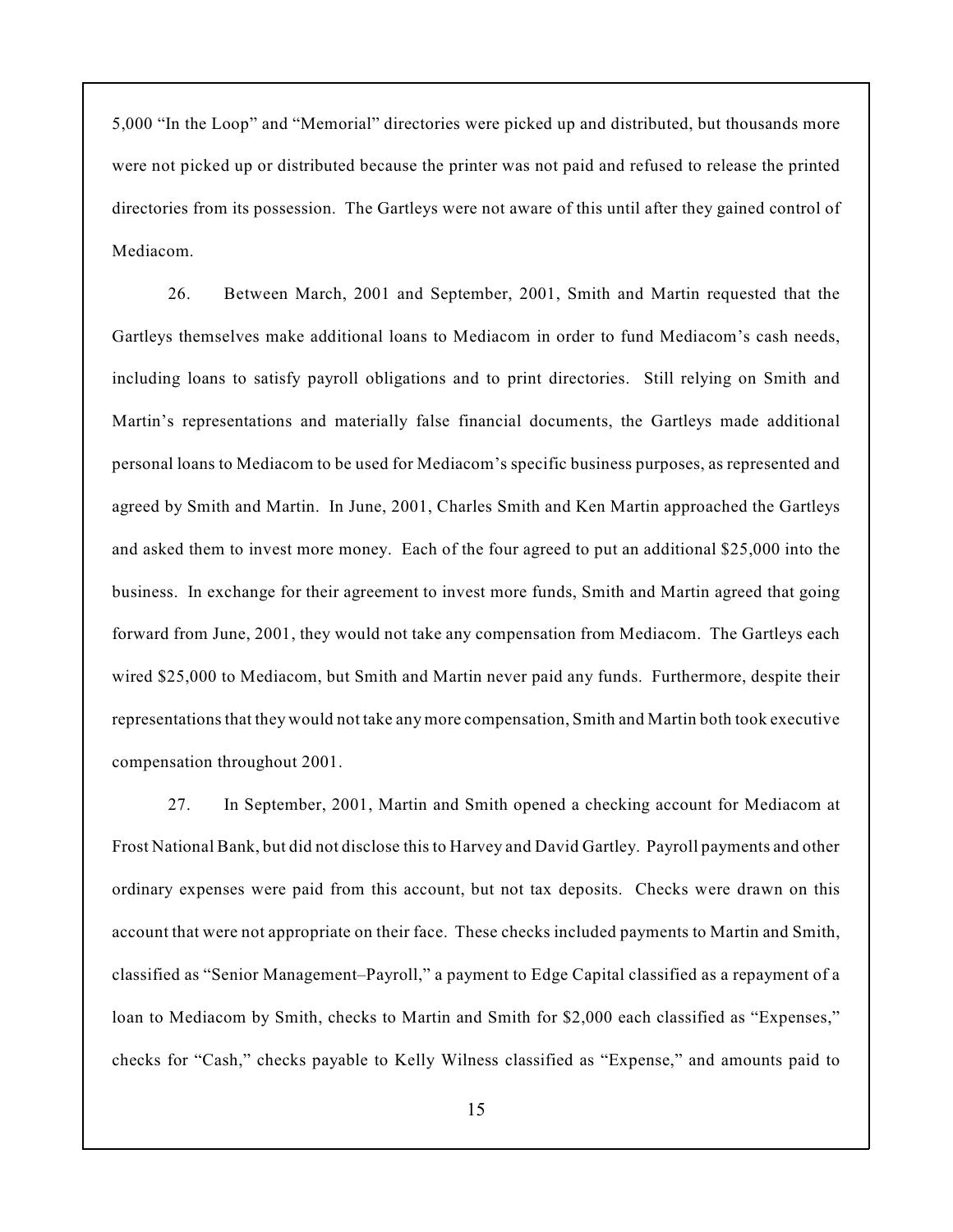5,000 "In the Loop" and "Memorial" directories were picked up and distributed, but thousands more were not picked up or distributed because the printer was not paid and refused to release the printed directories from its possession. The Gartleys were not aware of this until after they gained control of Mediacom.

26. Between March, 2001 and September, 2001, Smith and Martin requested that the Gartleys themselves make additional loans to Mediacom in order to fund Mediacom's cash needs, including loans to satisfy payroll obligations and to print directories. Still relying on Smith and Martin's representations and materially false financial documents, the Gartleys made additional personal loans to Mediacom to be used for Mediacom's specific business purposes, as represented and agreed by Smith and Martin. In June, 2001, Charles Smith and Ken Martin approached the Gartleys and asked them to invest more money. Each of the four agreed to put an additional \$25,000 into the business. In exchange for their agreement to invest more funds, Smith and Martin agreed that going forward from June, 2001, they would not take any compensation from Mediacom. The Gartleys each wired \$25,000 to Mediacom, but Smith and Martin never paid any funds. Furthermore, despite their representations that they would not take any more compensation, Smith and Martin both took executive compensation throughout 2001.

27. In September, 2001, Martin and Smith opened a checking account for Mediacom at Frost National Bank, but did not disclose this to Harvey and David Gartley. Payroll payments and other ordinary expenses were paid from this account, but not tax deposits. Checks were drawn on this account that were not appropriate on their face. These checks included payments to Martin and Smith, classified as "Senior Management–Payroll," a payment to Edge Capital classified as a repayment of a loan to Mediacom by Smith, checks to Martin and Smith for \$2,000 each classified as "Expenses," checks for "Cash," checks payable to Kelly Wilness classified as "Expense," and amounts paid to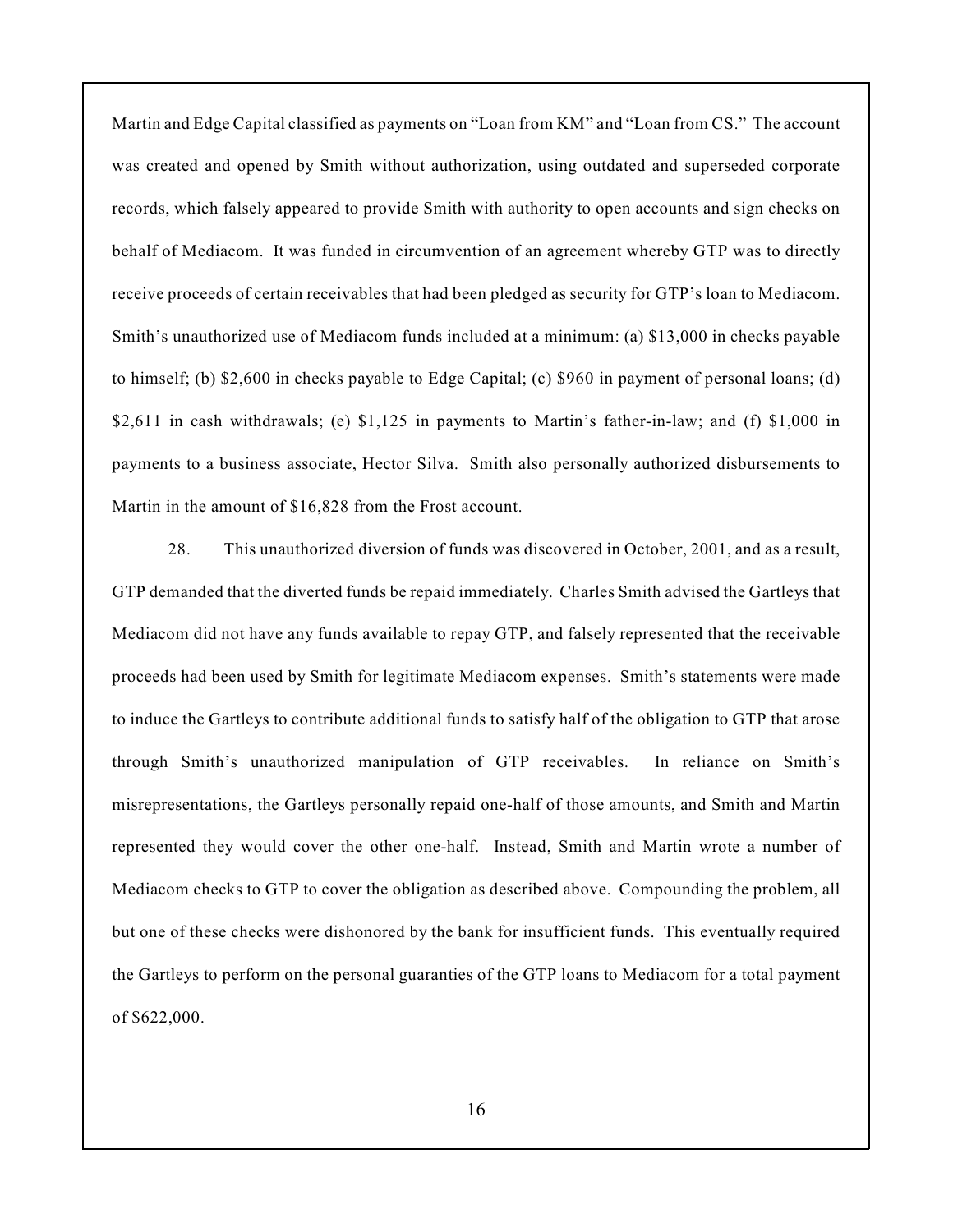Martin and Edge Capital classified as payments on "Loan from KM" and "Loan from CS." The account was created and opened by Smith without authorization, using outdated and superseded corporate records, which falsely appeared to provide Smith with authority to open accounts and sign checks on behalf of Mediacom. It was funded in circumvention of an agreement whereby GTP was to directly receive proceeds of certain receivables that had been pledged as security for GTP's loan to Mediacom. Smith's unauthorized use of Mediacom funds included at a minimum: (a) \$13,000 in checks payable to himself; (b) \$2,600 in checks payable to Edge Capital; (c) \$960 in payment of personal loans; (d) \$2,611 in cash withdrawals; (e) \$1,125 in payments to Martin's father-in-law; and (f) \$1,000 in payments to a business associate, Hector Silva. Smith also personally authorized disbursements to Martin in the amount of \$16,828 from the Frost account.

28. This unauthorized diversion of funds was discovered in October, 2001, and as a result, GTP demanded that the diverted funds be repaid immediately. Charles Smith advised the Gartleys that Mediacom did not have any funds available to repay GTP, and falsely represented that the receivable proceeds had been used by Smith for legitimate Mediacom expenses. Smith's statements were made to induce the Gartleys to contribute additional funds to satisfy half of the obligation to GTP that arose through Smith's unauthorized manipulation of GTP receivables. In reliance on Smith's misrepresentations, the Gartleys personally repaid one-half of those amounts, and Smith and Martin represented they would cover the other one-half. Instead, Smith and Martin wrote a number of Mediacom checks to GTP to cover the obligation as described above. Compounding the problem, all but one of these checks were dishonored by the bank for insufficient funds. This eventually required the Gartleys to perform on the personal guaranties of the GTP loans to Mediacom for a total payment of \$622,000.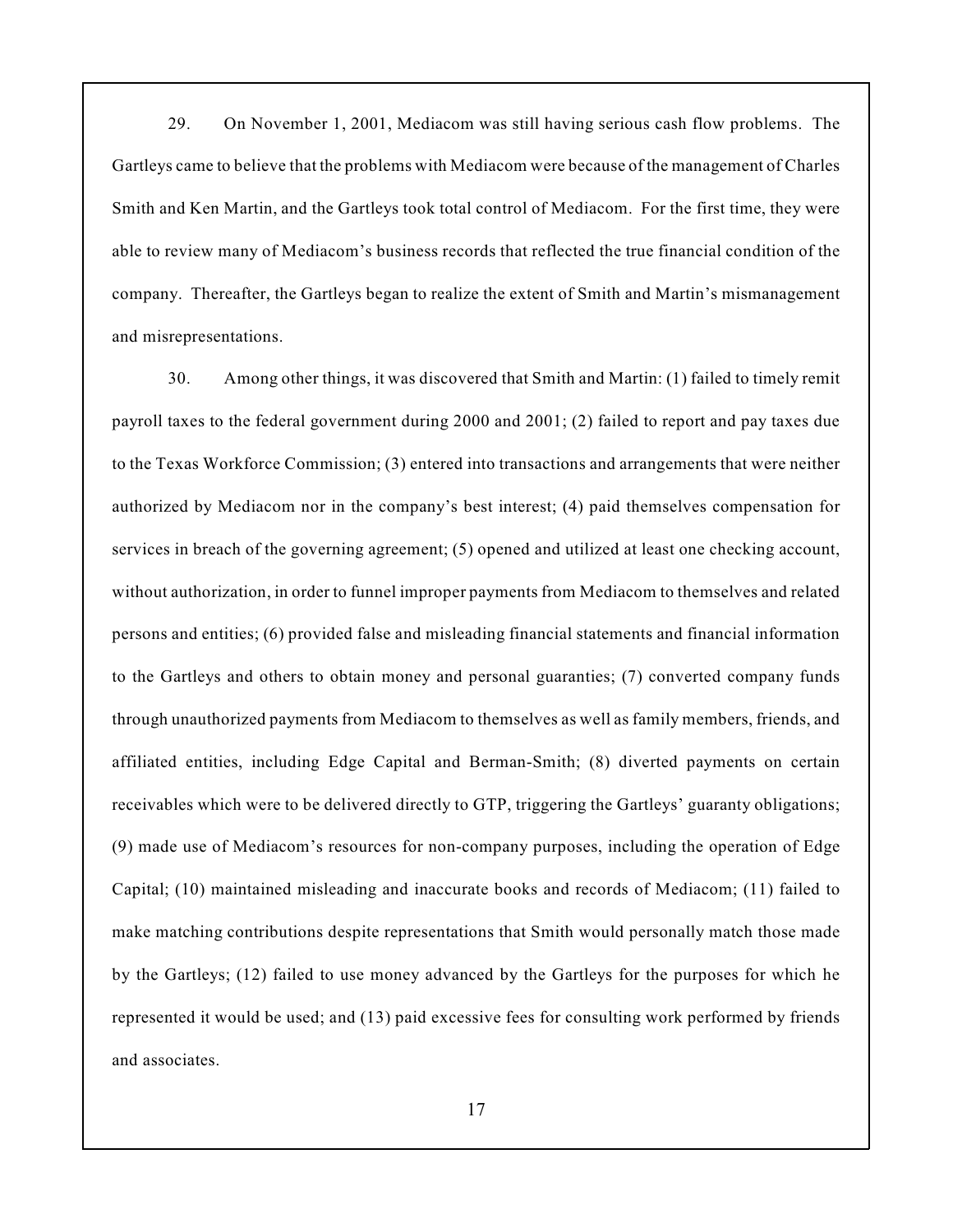29. On November 1, 2001, Mediacom was still having serious cash flow problems. The Gartleys came to believe that the problems with Mediacom were because of the management of Charles Smith and Ken Martin, and the Gartleys took total control of Mediacom. For the first time, they were able to review many of Mediacom's business records that reflected the true financial condition of the company. Thereafter, the Gartleys began to realize the extent of Smith and Martin's mismanagement and misrepresentations.

30. Among other things, it was discovered that Smith and Martin: (1) failed to timely remit payroll taxes to the federal government during 2000 and 2001; (2) failed to report and pay taxes due to the Texas Workforce Commission; (3) entered into transactions and arrangements that were neither authorized by Mediacom nor in the company's best interest; (4) paid themselves compensation for services in breach of the governing agreement; (5) opened and utilized at least one checking account, without authorization, in order to funnel improper payments from Mediacom to themselves and related persons and entities; (6) provided false and misleading financial statements and financial information to the Gartleys and others to obtain money and personal guaranties; (7) converted company funds through unauthorized payments from Mediacom to themselves as well as family members, friends, and affiliated entities, including Edge Capital and Berman-Smith; (8) diverted payments on certain receivables which were to be delivered directly to GTP, triggering the Gartleys' guaranty obligations; (9) made use of Mediacom's resources for non-company purposes, including the operation of Edge Capital; (10) maintained misleading and inaccurate books and records of Mediacom; (11) failed to make matching contributions despite representations that Smith would personally match those made by the Gartleys; (12) failed to use money advanced by the Gartleys for the purposes for which he represented it would be used; and (13) paid excessive fees for consulting work performed by friends and associates.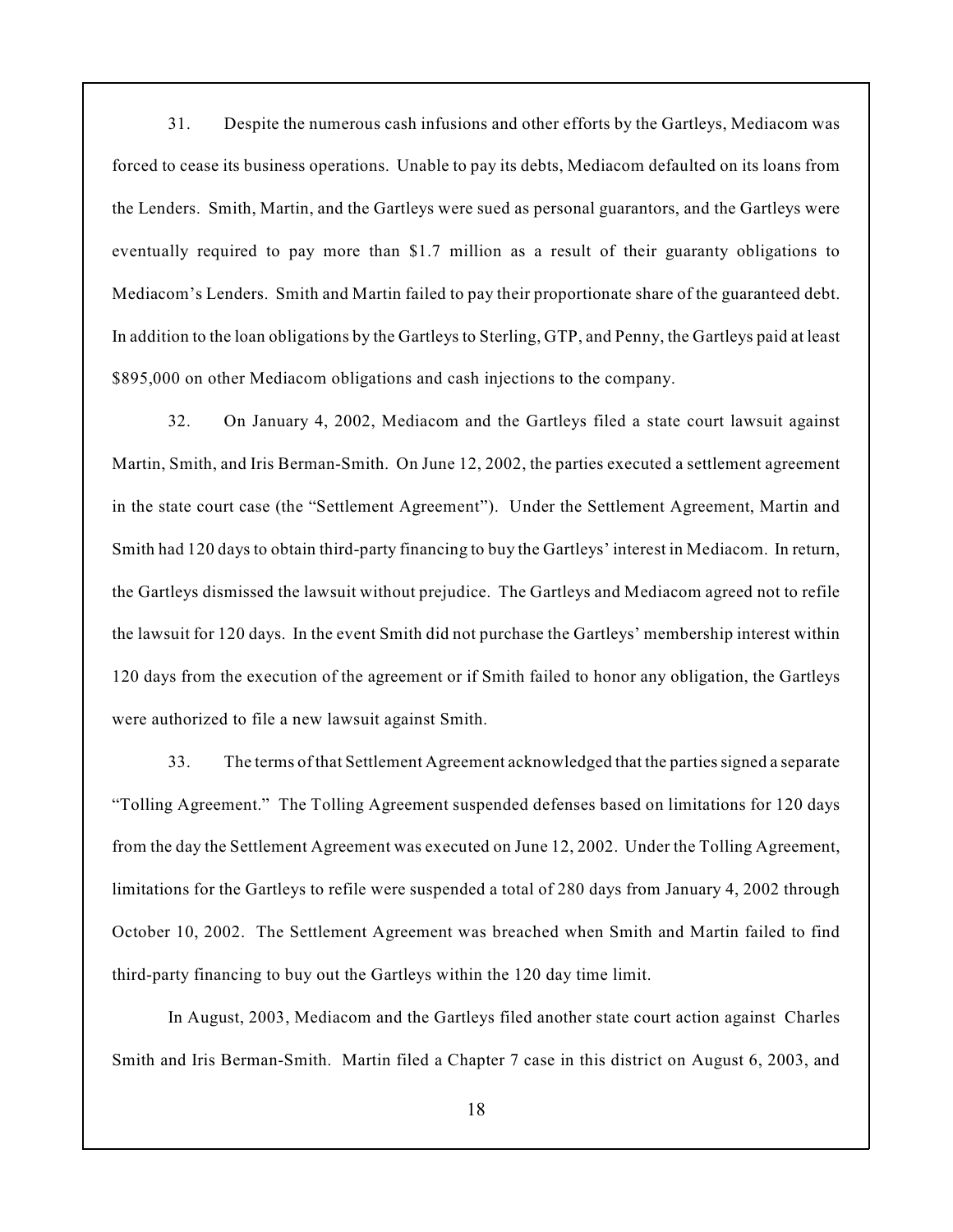31. Despite the numerous cash infusions and other efforts by the Gartleys, Mediacom was forced to cease its business operations. Unable to pay its debts, Mediacom defaulted on its loans from the Lenders. Smith, Martin, and the Gartleys were sued as personal guarantors, and the Gartleys were eventually required to pay more than \$1.7 million as a result of their guaranty obligations to Mediacom's Lenders. Smith and Martin failed to pay their proportionate share of the guaranteed debt. In addition to the loan obligations by the Gartleys to Sterling, GTP, and Penny, the Gartleys paid at least \$895,000 on other Mediacom obligations and cash injections to the company.

32. On January 4, 2002, Mediacom and the Gartleys filed a state court lawsuit against Martin, Smith, and Iris Berman-Smith. On June 12, 2002, the parties executed a settlement agreement in the state court case (the "Settlement Agreement"). Under the Settlement Agreement, Martin and Smith had 120 days to obtain third-party financing to buy the Gartleys' interest in Mediacom. In return, the Gartleys dismissed the lawsuit without prejudice. The Gartleys and Mediacom agreed not to refile the lawsuit for 120 days. In the event Smith did not purchase the Gartleys' membership interest within 120 days from the execution of the agreement or if Smith failed to honor any obligation, the Gartleys were authorized to file a new lawsuit against Smith.

33. The terms of that Settlement Agreement acknowledged that the parties signed a separate "Tolling Agreement." The Tolling Agreement suspended defenses based on limitations for 120 days from the day the Settlement Agreement was executed on June 12, 2002. Under the Tolling Agreement, limitations for the Gartleys to refile were suspended a total of 280 days from January 4, 2002 through October 10, 2002. The Settlement Agreement was breached when Smith and Martin failed to find third-party financing to buy out the Gartleys within the 120 day time limit.

In August, 2003, Mediacom and the Gartleys filed another state court action against Charles Smith and Iris Berman-Smith. Martin filed a Chapter 7 case in this district on August 6, 2003, and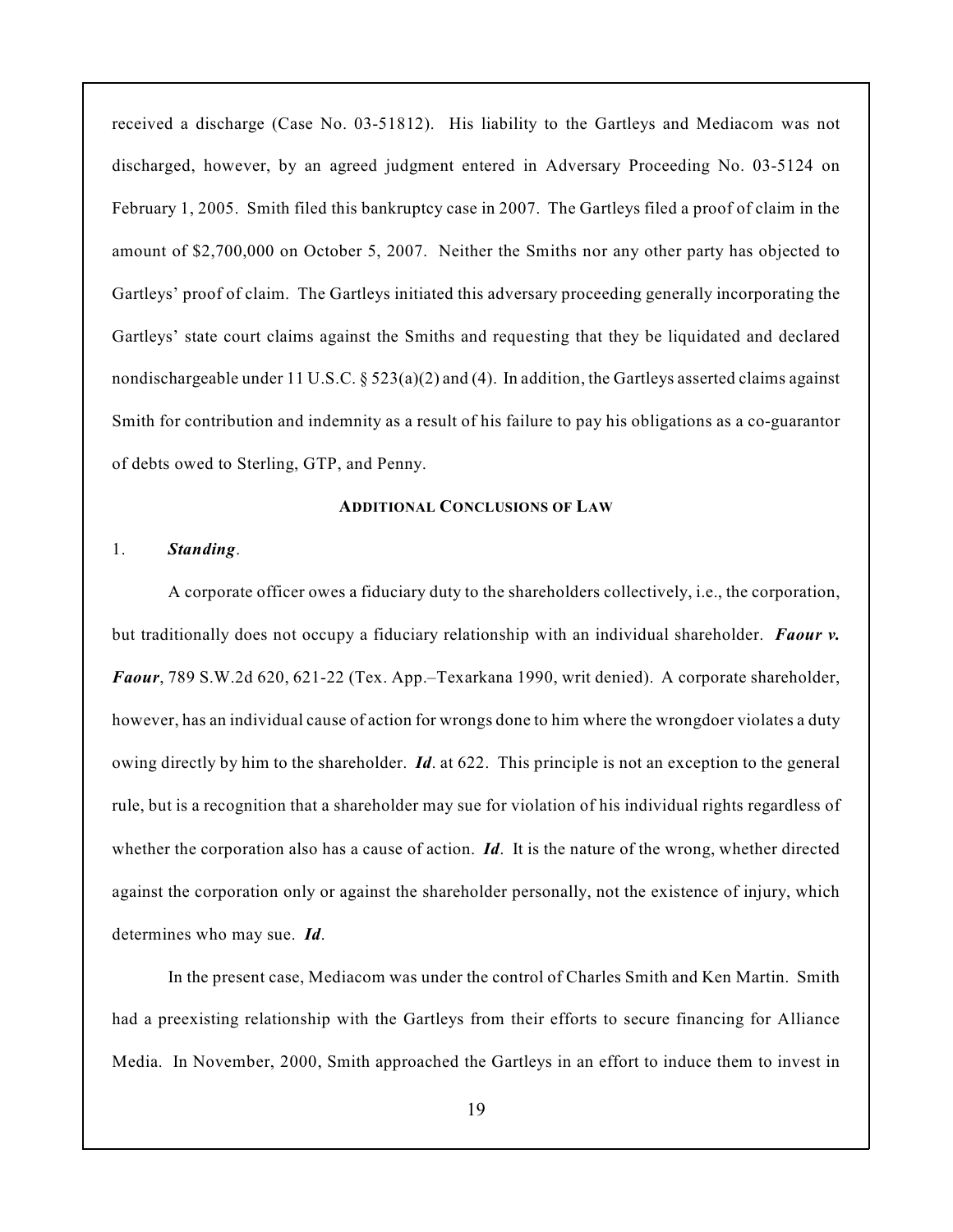received a discharge (Case No. 03-51812). His liability to the Gartleys and Mediacom was not discharged, however, by an agreed judgment entered in Adversary Proceeding No. 03-5124 on February 1, 2005. Smith filed this bankruptcy case in 2007. The Gartleys filed a proof of claim in the amount of \$2,700,000 on October 5, 2007. Neither the Smiths nor any other party has objected to Gartleys' proof of claim. The Gartleys initiated this adversary proceeding generally incorporating the Gartleys' state court claims against the Smiths and requesting that they be liquidated and declared nondischargeable under 11 U.S.C.  $\S 523(a)(2)$  and (4). In addition, the Gartleys asserted claims against Smith for contribution and indemnity as a result of his failure to pay his obligations as a co-guarantor of debts owed to Sterling, GTP, and Penny.

# **ADDITIONAL CONCLUSIONS OF LAW**

#### 1. *Standing*.

A corporate officer owes a fiduciary duty to the shareholders collectively, i.e., the corporation, but traditionally does not occupy a fiduciary relationship with an individual shareholder. *Faour v. Faour*, 789 S.W.2d 620, 621-22 (Tex. App.–Texarkana 1990, writ denied). A corporate shareholder, however, has an individual cause of action for wrongs done to him where the wrongdoer violates a duty owing directly by him to the shareholder. *Id*. at 622. This principle is not an exception to the general rule, but is a recognition that a shareholder may sue for violation of his individual rights regardless of whether the corporation also has a cause of action. **Id**. It is the nature of the wrong, whether directed against the corporation only or against the shareholder personally, not the existence of injury, which determines who may sue. *Id*.

In the present case, Mediacom was under the control of Charles Smith and Ken Martin. Smith had a preexisting relationship with the Gartleys from their efforts to secure financing for Alliance Media. In November, 2000, Smith approached the Gartleys in an effort to induce them to invest in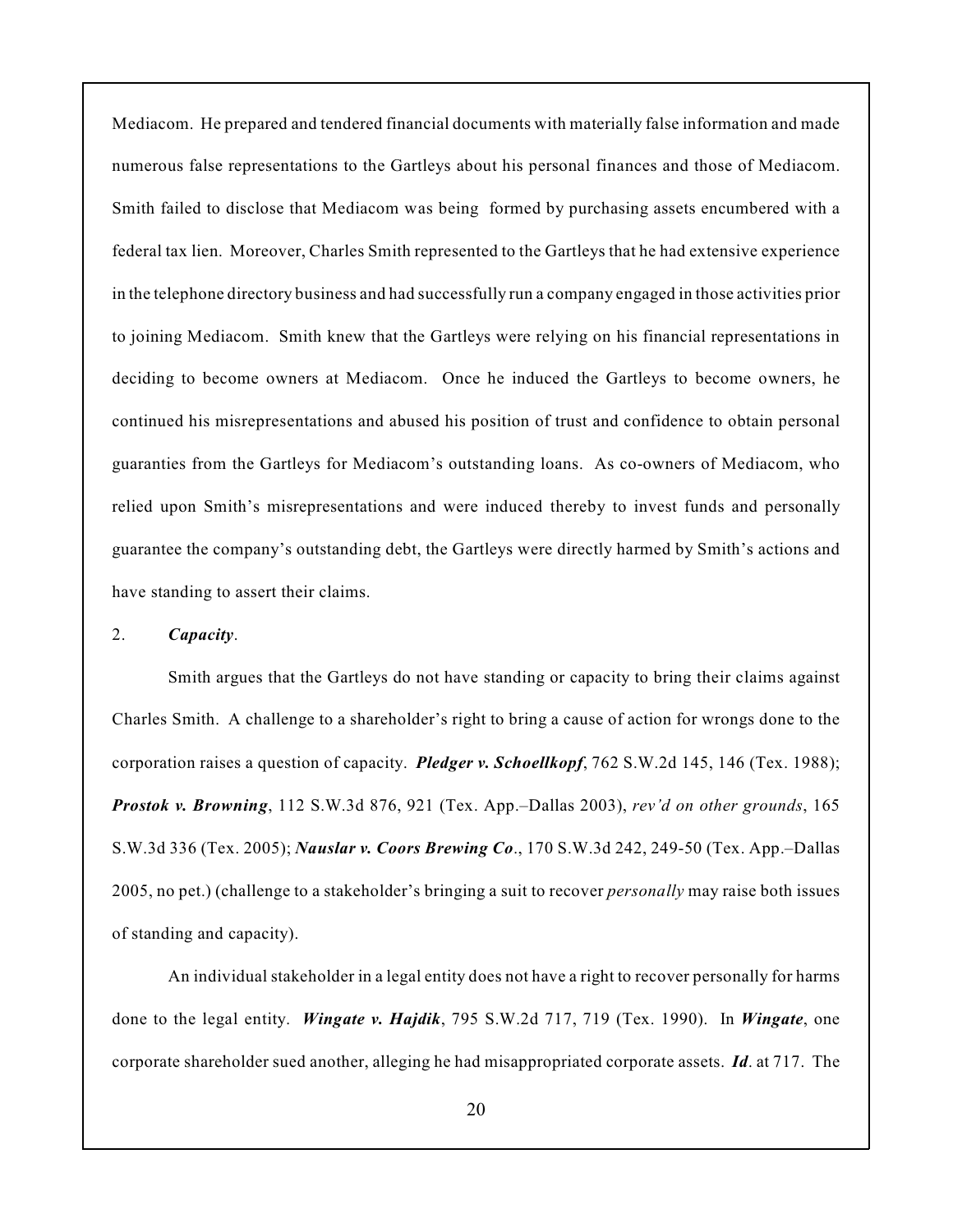Mediacom. He prepared and tendered financial documents with materially false information and made numerous false representations to the Gartleys about his personal finances and those of Mediacom. Smith failed to disclose that Mediacom was being formed by purchasing assets encumbered with a federal tax lien. Moreover, Charles Smith represented to the Gartleys that he had extensive experience in the telephone directory business and had successfully run a company engaged in those activities prior to joining Mediacom. Smith knew that the Gartleys were relying on his financial representations in deciding to become owners at Mediacom. Once he induced the Gartleys to become owners, he continued his misrepresentations and abused his position of trust and confidence to obtain personal guaranties from the Gartleys for Mediacom's outstanding loans. As co-owners of Mediacom, who relied upon Smith's misrepresentations and were induced thereby to invest funds and personally guarantee the company's outstanding debt, the Gartleys were directly harmed by Smith's actions and have standing to assert their claims.

# 2. *Capacity*.

Smith argues that the Gartleys do not have standing or capacity to bring their claims against Charles Smith. A challenge to a shareholder's right to bring a cause of action for wrongs done to the corporation raises a question of capacity. *Pledger v. Schoellkopf*, 762 S.W.2d 145, 146 (Tex. 1988); *Prostok v. Browning*, 112 S.W.3d 876, 921 (Tex. App.–Dallas 2003), *rev'd on other grounds*, 165 S.W.3d 336 (Tex. 2005); *Nauslar v. Coors Brewing Co*., 170 S.W.3d 242, 249-50 (Tex. App.–Dallas 2005, no pet.) (challenge to a stakeholder's bringing a suit to recover *personally* may raise both issues of standing and capacity).

An individual stakeholder in a legal entity does not have a right to recover personally for harms done to the legal entity. *Wingate v. Hajdik*, 795 S.W.2d 717, 719 (Tex. 1990). In *Wingate*, one corporate shareholder sued another, alleging he had misappropriated corporate assets. *Id*. at 717. The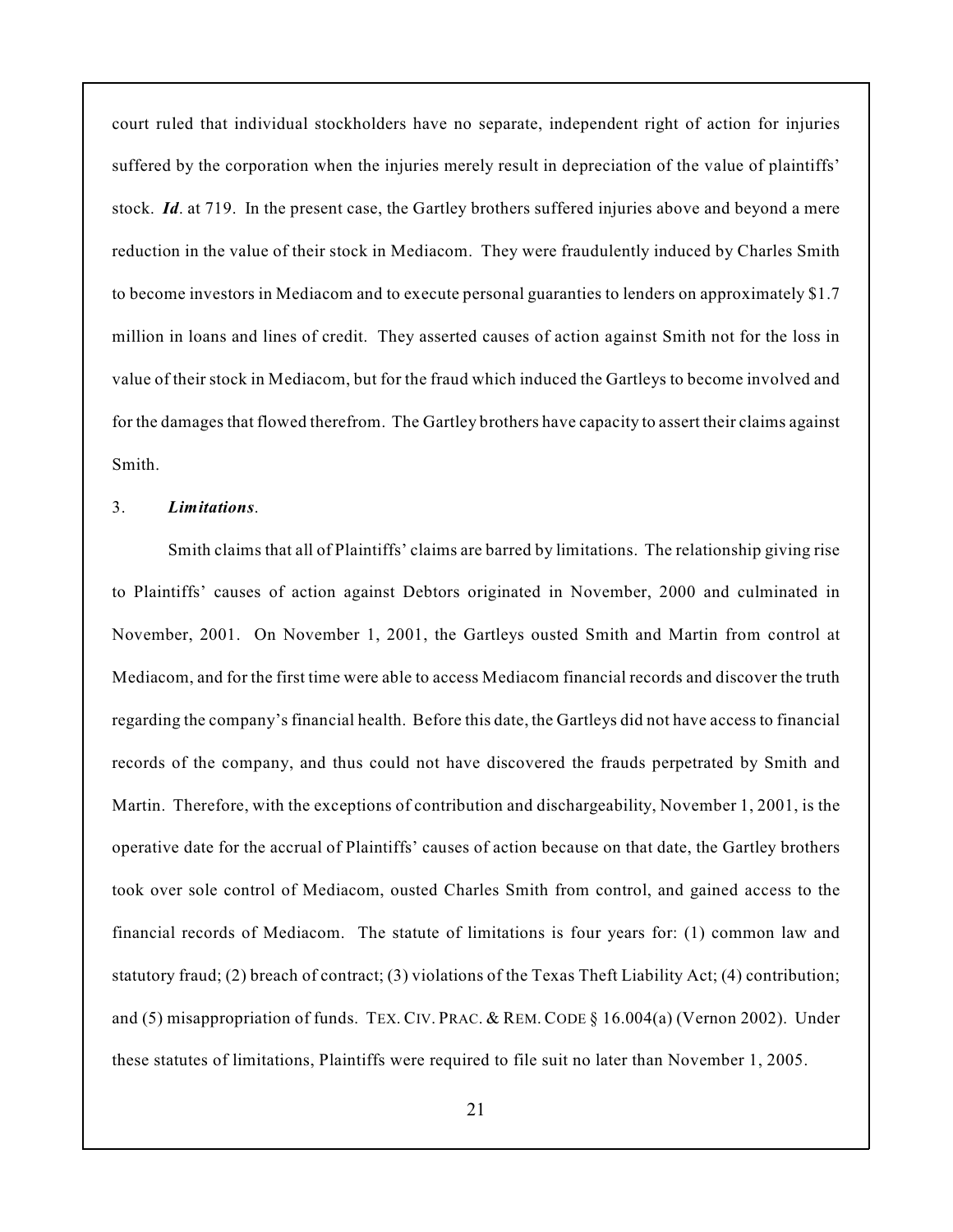court ruled that individual stockholders have no separate, independent right of action for injuries suffered by the corporation when the injuries merely result in depreciation of the value of plaintiffs' stock. *Id*. at 719. In the present case, the Gartley brothers suffered injuries above and beyond a mere reduction in the value of their stock in Mediacom. They were fraudulently induced by Charles Smith to become investors in Mediacom and to execute personal guaranties to lenders on approximately \$1.7 million in loans and lines of credit. They asserted causes of action against Smith not for the loss in value of their stock in Mediacom, but for the fraud which induced the Gartleys to become involved and for the damages that flowed therefrom. The Gartley brothers have capacity to assert their claims against Smith.

## 3. *Limitations*.

Smith claims that all of Plaintiffs' claims are barred by limitations. The relationship giving rise to Plaintiffs' causes of action against Debtors originated in November, 2000 and culminated in November, 2001. On November 1, 2001, the Gartleys ousted Smith and Martin from control at Mediacom, and for the first time were able to access Mediacom financial records and discover the truth regarding the company's financial health. Before this date, the Gartleys did not have access to financial records of the company, and thus could not have discovered the frauds perpetrated by Smith and Martin. Therefore, with the exceptions of contribution and dischargeability, November 1, 2001, is the operative date for the accrual of Plaintiffs' causes of action because on that date, the Gartley brothers took over sole control of Mediacom, ousted Charles Smith from control, and gained access to the financial records of Mediacom. The statute of limitations is four years for: (1) common law and statutory fraud; (2) breach of contract; (3) violations of the Texas Theft Liability Act; (4) contribution; and (5) misappropriation of funds. TEX. CIV. PRAC. & REM. CODE § 16.004(a) (Vernon 2002). Under these statutes of limitations, Plaintiffs were required to file suit no later than November 1, 2005.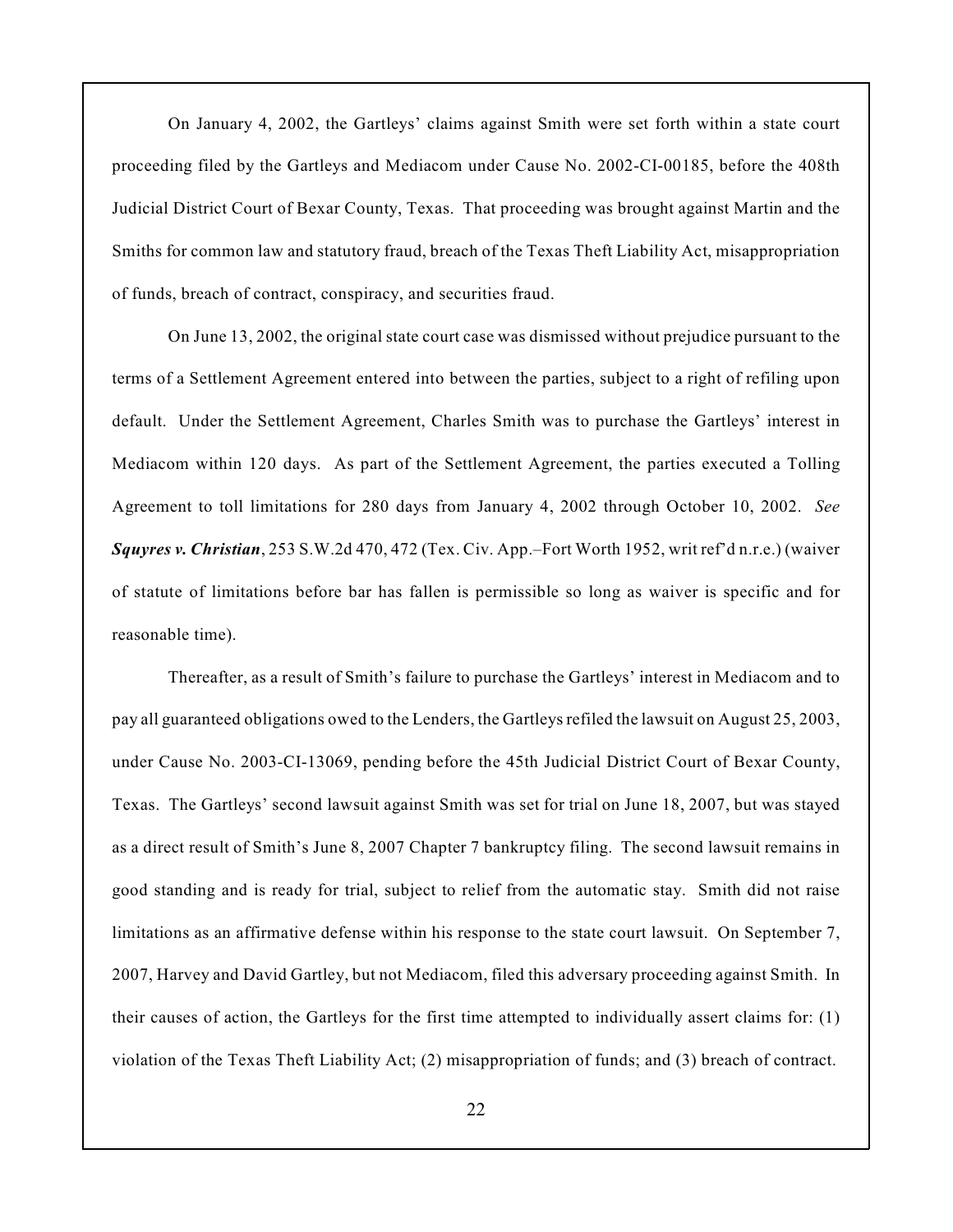On January 4, 2002, the Gartleys' claims against Smith were set forth within a state court proceeding filed by the Gartleys and Mediacom under Cause No. 2002-CI-00185, before the 408th Judicial District Court of Bexar County, Texas. That proceeding was brought against Martin and the Smiths for common law and statutory fraud, breach of the Texas Theft Liability Act, misappropriation of funds, breach of contract, conspiracy, and securities fraud.

On June 13, 2002, the original state court case was dismissed without prejudice pursuant to the terms of a Settlement Agreement entered into between the parties, subject to a right of refiling upon default. Under the Settlement Agreement, Charles Smith was to purchase the Gartleys' interest in Mediacom within 120 days. As part of the Settlement Agreement, the parties executed a Tolling Agreement to toll limitations for 280 days from January 4, 2002 through October 10, 2002. *See Squyres v. Christian*, 253 S.W.2d 470, 472 (Tex. Civ. App.–Fort Worth 1952, writ ref'd n.r.e.) (waiver of statute of limitations before bar has fallen is permissible so long as waiver is specific and for reasonable time).

Thereafter, as a result of Smith's failure to purchase the Gartleys' interest in Mediacom and to pay all guaranteed obligations owed to the Lenders, the Gartleysrefiled the lawsuit on August 25, 2003, under Cause No. 2003-CI-13069, pending before the 45th Judicial District Court of Bexar County, Texas. The Gartleys' second lawsuit against Smith was set for trial on June 18, 2007, but was stayed as a direct result of Smith's June 8, 2007 Chapter 7 bankruptcy filing. The second lawsuit remains in good standing and is ready for trial, subject to relief from the automatic stay. Smith did not raise limitations as an affirmative defense within his response to the state court lawsuit. On September 7, 2007, Harvey and David Gartley, but not Mediacom, filed this adversary proceeding against Smith. In their causes of action, the Gartleys for the first time attempted to individually assert claims for: (1) violation of the Texas Theft Liability Act; (2) misappropriation of funds; and (3) breach of contract.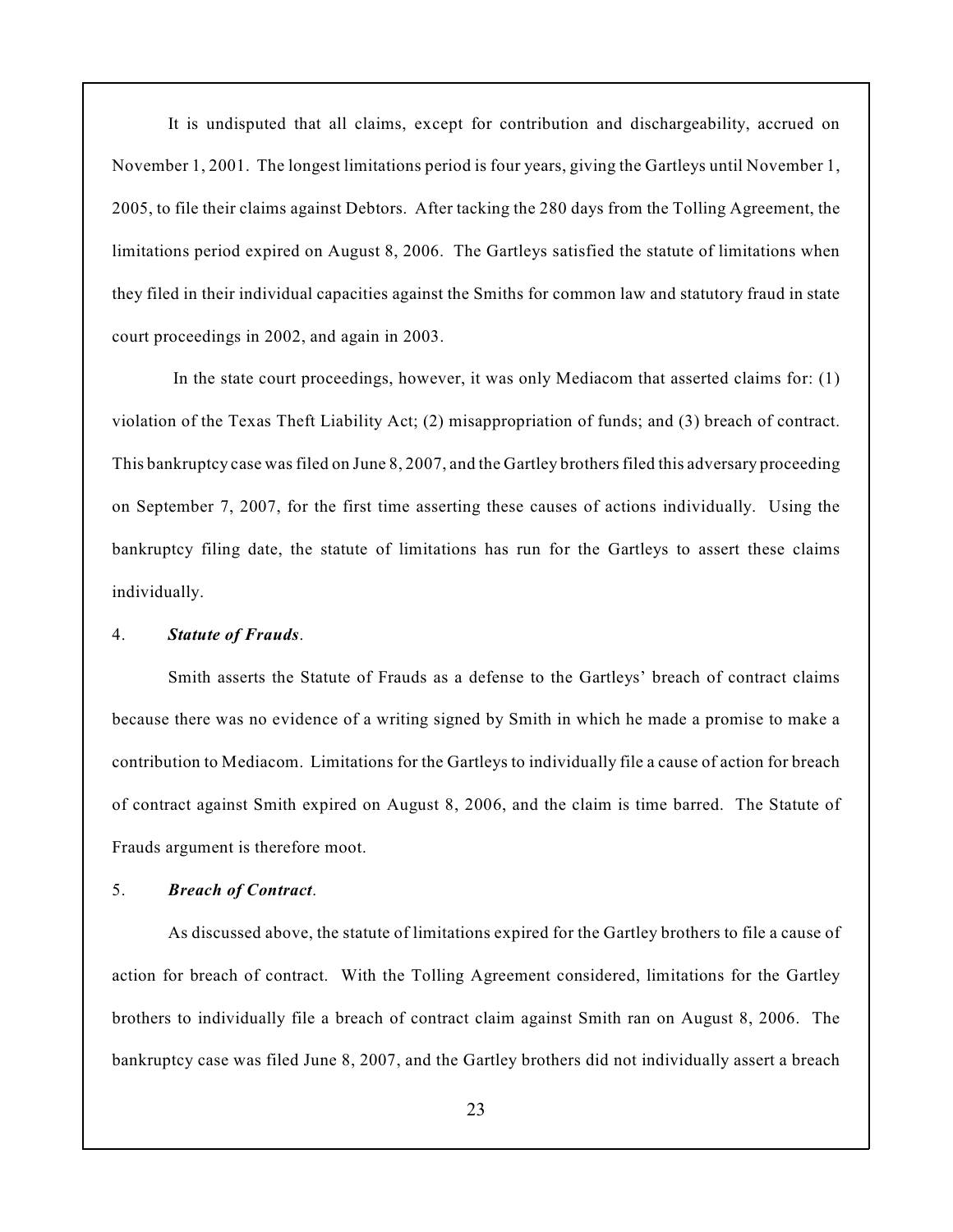It is undisputed that all claims, except for contribution and dischargeability, accrued on November 1, 2001. The longest limitations period is four years, giving the Gartleys until November 1, 2005, to file their claims against Debtors. After tacking the 280 days from the Tolling Agreement, the limitations period expired on August 8, 2006. The Gartleys satisfied the statute of limitations when they filed in their individual capacities against the Smiths for common law and statutory fraud in state court proceedings in 2002, and again in 2003.

 In the state court proceedings, however, it was only Mediacom that asserted claims for: (1) violation of the Texas Theft Liability Act; (2) misappropriation of funds; and (3) breach of contract. This bankruptcy case was filed on June 8, 2007, and the Gartley brothers filed this adversary proceeding on September 7, 2007, for the first time asserting these causes of actions individually. Using the bankruptcy filing date, the statute of limitations has run for the Gartleys to assert these claims individually.

### 4. *Statute of Frauds*.

Smith asserts the Statute of Frauds as a defense to the Gartleys' breach of contract claims because there was no evidence of a writing signed by Smith in which he made a promise to make a contribution to Mediacom. Limitations for the Gartleys to individually file a cause of action for breach of contract against Smith expired on August 8, 2006, and the claim is time barred. The Statute of Frauds argument is therefore moot.

# 5. *Breach of Contract*.

As discussed above, the statute of limitations expired for the Gartley brothers to file a cause of action for breach of contract. With the Tolling Agreement considered, limitations for the Gartley brothers to individually file a breach of contract claim against Smith ran on August 8, 2006. The bankruptcy case was filed June 8, 2007, and the Gartley brothers did not individually assert a breach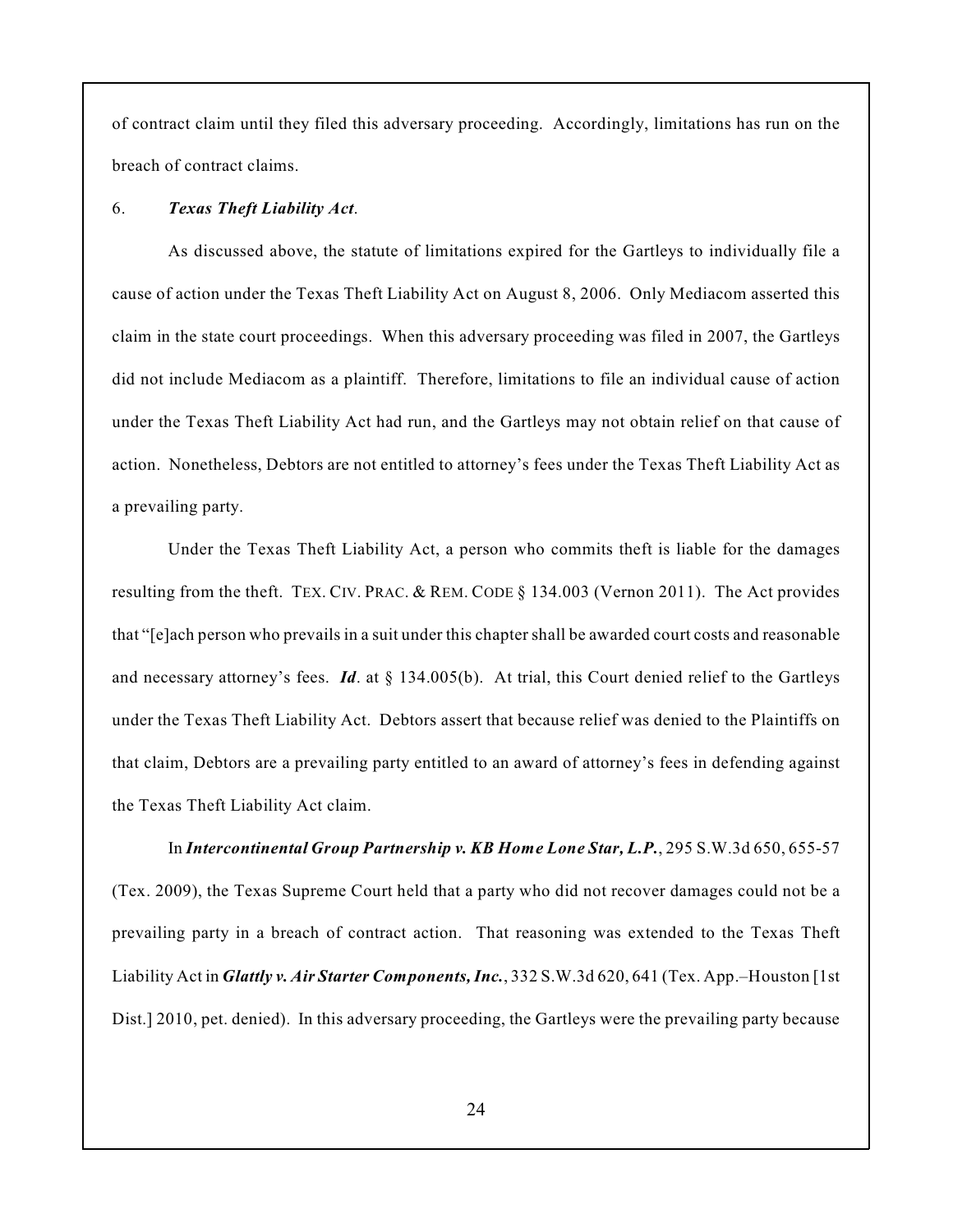of contract claim until they filed this adversary proceeding. Accordingly, limitations has run on the breach of contract claims.

### 6. *Texas Theft Liability Act*.

As discussed above, the statute of limitations expired for the Gartleys to individually file a cause of action under the Texas Theft Liability Act on August 8, 2006. Only Mediacom asserted this claim in the state court proceedings. When this adversary proceeding was filed in 2007, the Gartleys did not include Mediacom as a plaintiff. Therefore, limitations to file an individual cause of action under the Texas Theft Liability Act had run, and the Gartleys may not obtain relief on that cause of action. Nonetheless, Debtors are not entitled to attorney's fees under the Texas Theft Liability Act as a prevailing party.

Under the Texas Theft Liability Act, a person who commits theft is liable for the damages resulting from the theft. TEX. CIV. PRAC. & REM. CODE § 134.003 (Vernon 2011). The Act provides that "[e]ach person who prevails in a suit under this chapter shall be awarded court costs and reasonable and necessary attorney's fees. *Id*. at § 134.005(b). At trial, this Court denied relief to the Gartleys under the Texas Theft Liability Act. Debtors assert that because relief was denied to the Plaintiffs on that claim, Debtors are a prevailing party entitled to an award of attorney's fees in defending against the Texas Theft Liability Act claim.

In *Intercontinental Group Partnership v. KB Home Lone Star, L.P.*, 295 S.W.3d 650, 655-57 (Tex. 2009), the Texas Supreme Court held that a party who did not recover damages could not be a prevailing party in a breach of contract action. That reasoning was extended to the Texas Theft Liability Act in *Glattly v. Air Starter Components, Inc.*, 332 S.W.3d 620, 641 (Tex. App.–Houston [1st Dist.] 2010, pet. denied). In this adversary proceeding, the Gartleys were the prevailing party because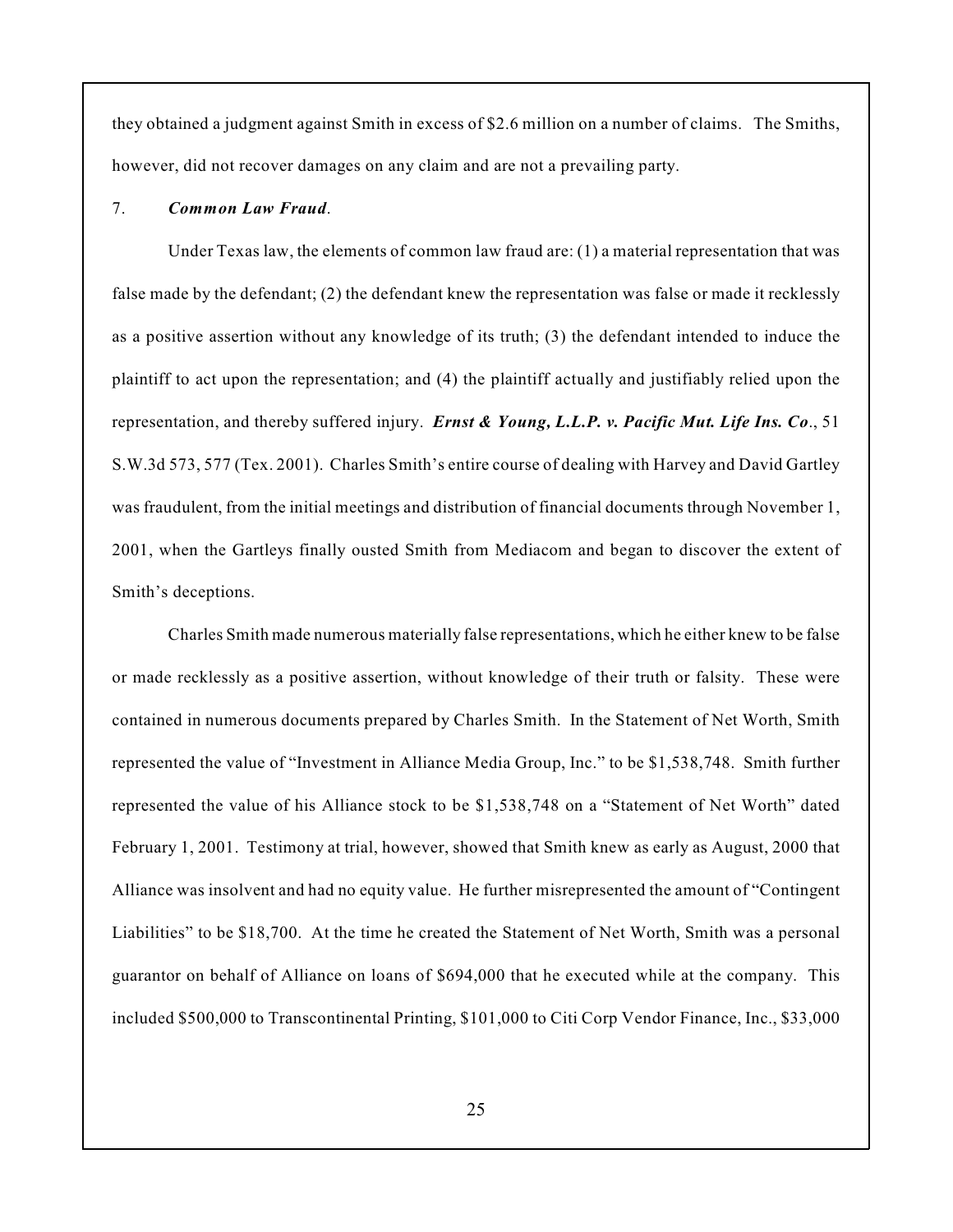they obtained a judgment against Smith in excess of \$2.6 million on a number of claims. The Smiths, however, did not recover damages on any claim and are not a prevailing party.

# 7. *Common Law Fraud*.

Under Texas law, the elements of common law fraud are: (1) a material representation that was false made by the defendant; (2) the defendant knew the representation was false or made it recklessly as a positive assertion without any knowledge of its truth; (3) the defendant intended to induce the plaintiff to act upon the representation; and (4) the plaintiff actually and justifiably relied upon the representation, and thereby suffered injury. *Ernst & Young, L.L.P. v. Pacific Mut. Life Ins. Co*., 51 S.W.3d 573, 577 (Tex. 2001). Charles Smith's entire course of dealing with Harvey and David Gartley was fraudulent, from the initial meetings and distribution of financial documents through November 1, 2001, when the Gartleys finally ousted Smith from Mediacom and began to discover the extent of Smith's deceptions.

Charles Smith made numerous materially false representations, which he either knew to be false or made recklessly as a positive assertion, without knowledge of their truth or falsity. These were contained in numerous documents prepared by Charles Smith. In the Statement of Net Worth, Smith represented the value of "Investment in Alliance Media Group, Inc." to be \$1,538,748. Smith further represented the value of his Alliance stock to be \$1,538,748 on a "Statement of Net Worth" dated February 1, 2001. Testimony at trial, however, showed that Smith knew as early as August, 2000 that Alliance was insolvent and had no equity value. He further misrepresented the amount of "Contingent Liabilities" to be \$18,700. At the time he created the Statement of Net Worth, Smith was a personal guarantor on behalf of Alliance on loans of \$694,000 that he executed while at the company. This included \$500,000 to Transcontinental Printing, \$101,000 to Citi Corp Vendor Finance, Inc., \$33,000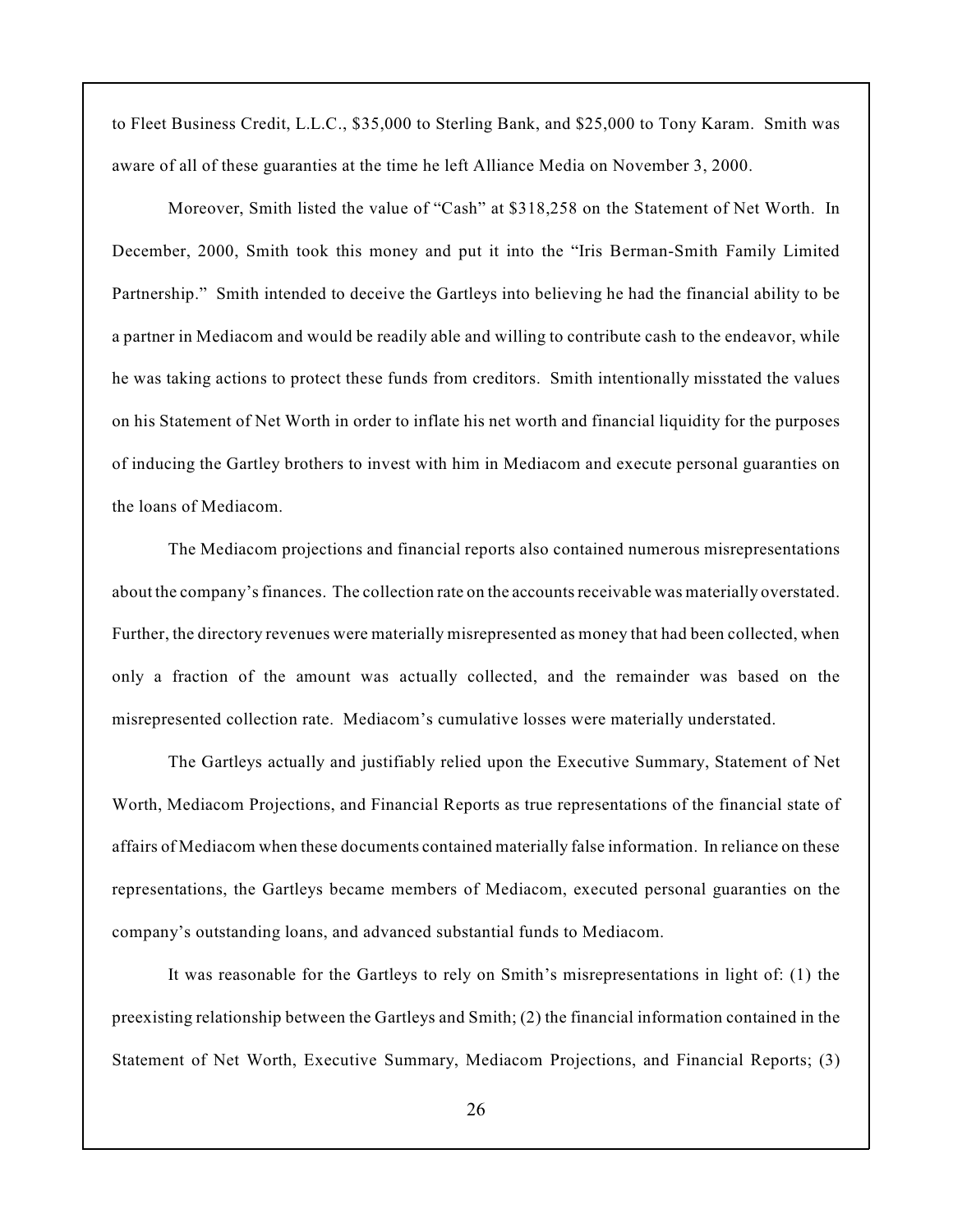to Fleet Business Credit, L.L.C., \$35,000 to Sterling Bank, and \$25,000 to Tony Karam. Smith was aware of all of these guaranties at the time he left Alliance Media on November 3, 2000.

Moreover, Smith listed the value of "Cash" at \$318,258 on the Statement of Net Worth. In December, 2000, Smith took this money and put it into the "Iris Berman-Smith Family Limited Partnership." Smith intended to deceive the Gartleys into believing he had the financial ability to be a partner in Mediacom and would be readily able and willing to contribute cash to the endeavor, while he was taking actions to protect these funds from creditors. Smith intentionally misstated the values on his Statement of Net Worth in order to inflate his net worth and financial liquidity for the purposes of inducing the Gartley brothers to invest with him in Mediacom and execute personal guaranties on the loans of Mediacom.

The Mediacom projections and financial reports also contained numerous misrepresentations about the company's finances. The collection rate on the accounts receivable was materially overstated. Further, the directory revenues were materially misrepresented as money that had been collected, when only a fraction of the amount was actually collected, and the remainder was based on the misrepresented collection rate. Mediacom's cumulative losses were materially understated.

The Gartleys actually and justifiably relied upon the Executive Summary, Statement of Net Worth, Mediacom Projections, and Financial Reports as true representations of the financial state of affairs of Mediacom when these documents contained materially false information. In reliance on these representations, the Gartleys became members of Mediacom, executed personal guaranties on the company's outstanding loans, and advanced substantial funds to Mediacom.

It was reasonable for the Gartleys to rely on Smith's misrepresentations in light of: (1) the preexisting relationship between the Gartleys and Smith; (2) the financial information contained in the Statement of Net Worth, Executive Summary, Mediacom Projections, and Financial Reports; (3)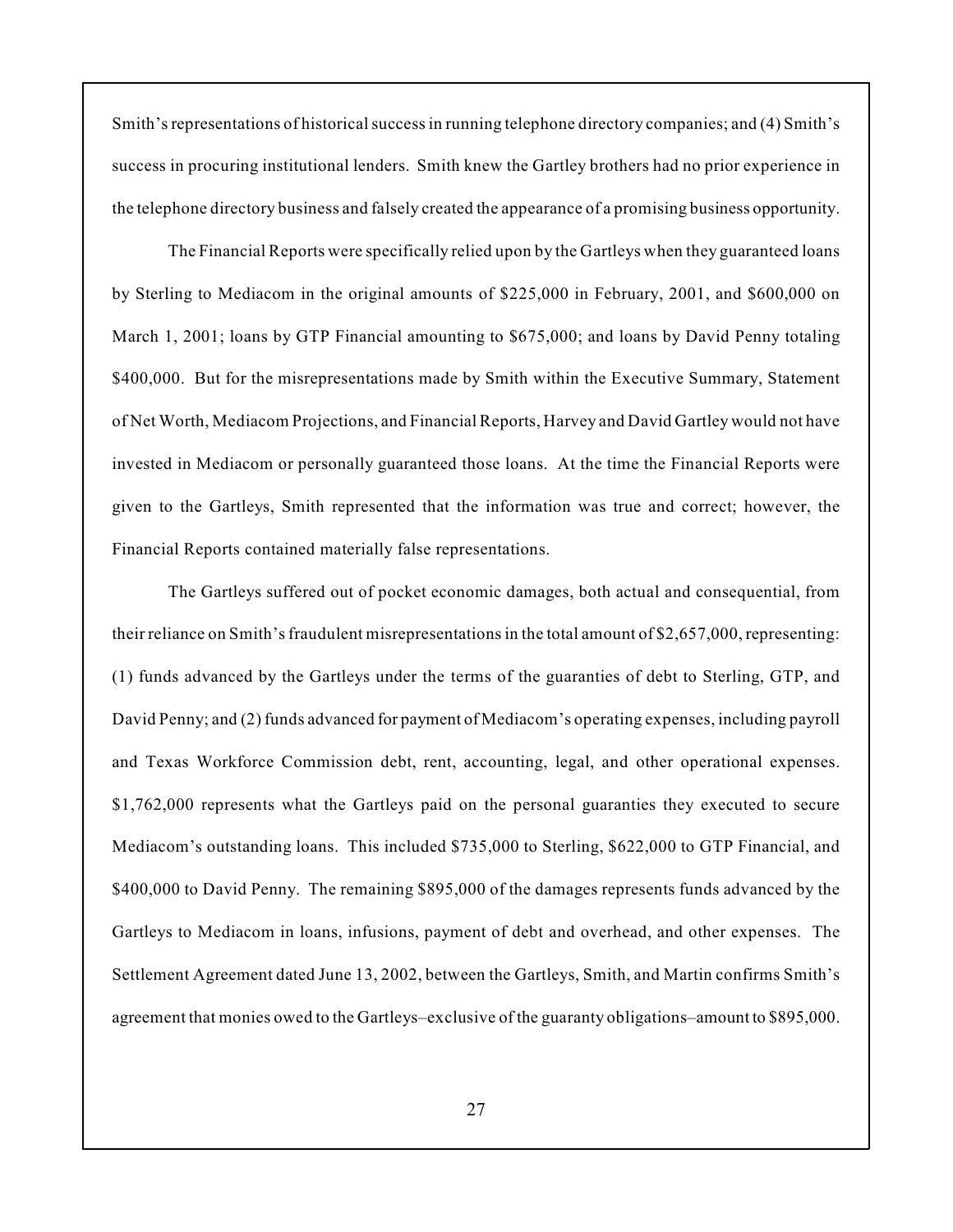Smith's representations of historical success in running telephone directory companies; and (4) Smith's success in procuring institutional lenders. Smith knew the Gartley brothers had no prior experience in the telephone directory business and falsely created the appearance of a promising business opportunity.

The Financial Reports were specifically relied upon by the Gartleys when they guaranteed loans by Sterling to Mediacom in the original amounts of \$225,000 in February, 2001, and \$600,000 on March 1, 2001; loans by GTP Financial amounting to \$675,000; and loans by David Penny totaling \$400,000. But for the misrepresentations made by Smith within the Executive Summary, Statement of Net Worth, Mediacom Projections, and Financial Reports, Harvey and David Gartley would not have invested in Mediacom or personally guaranteed those loans. At the time the Financial Reports were given to the Gartleys, Smith represented that the information was true and correct; however, the Financial Reports contained materially false representations.

The Gartleys suffered out of pocket economic damages, both actual and consequential, from their reliance on Smith's fraudulent misrepresentations in the total amount of \$2,657,000, representing: (1) funds advanced by the Gartleys under the terms of the guaranties of debt to Sterling, GTP, and David Penny; and (2) funds advanced for payment of Mediacom's operating expenses, including payroll and Texas Workforce Commission debt, rent, accounting, legal, and other operational expenses. \$1,762,000 represents what the Gartleys paid on the personal guaranties they executed to secure Mediacom's outstanding loans. This included \$735,000 to Sterling, \$622,000 to GTP Financial, and \$400,000 to David Penny. The remaining \$895,000 of the damages represents funds advanced by the Gartleys to Mediacom in loans, infusions, payment of debt and overhead, and other expenses. The Settlement Agreement dated June 13, 2002, between the Gartleys, Smith, and Martin confirms Smith's agreement that monies owed to the Gartleys–exclusive of the guaranty obligations–amount to \$895,000.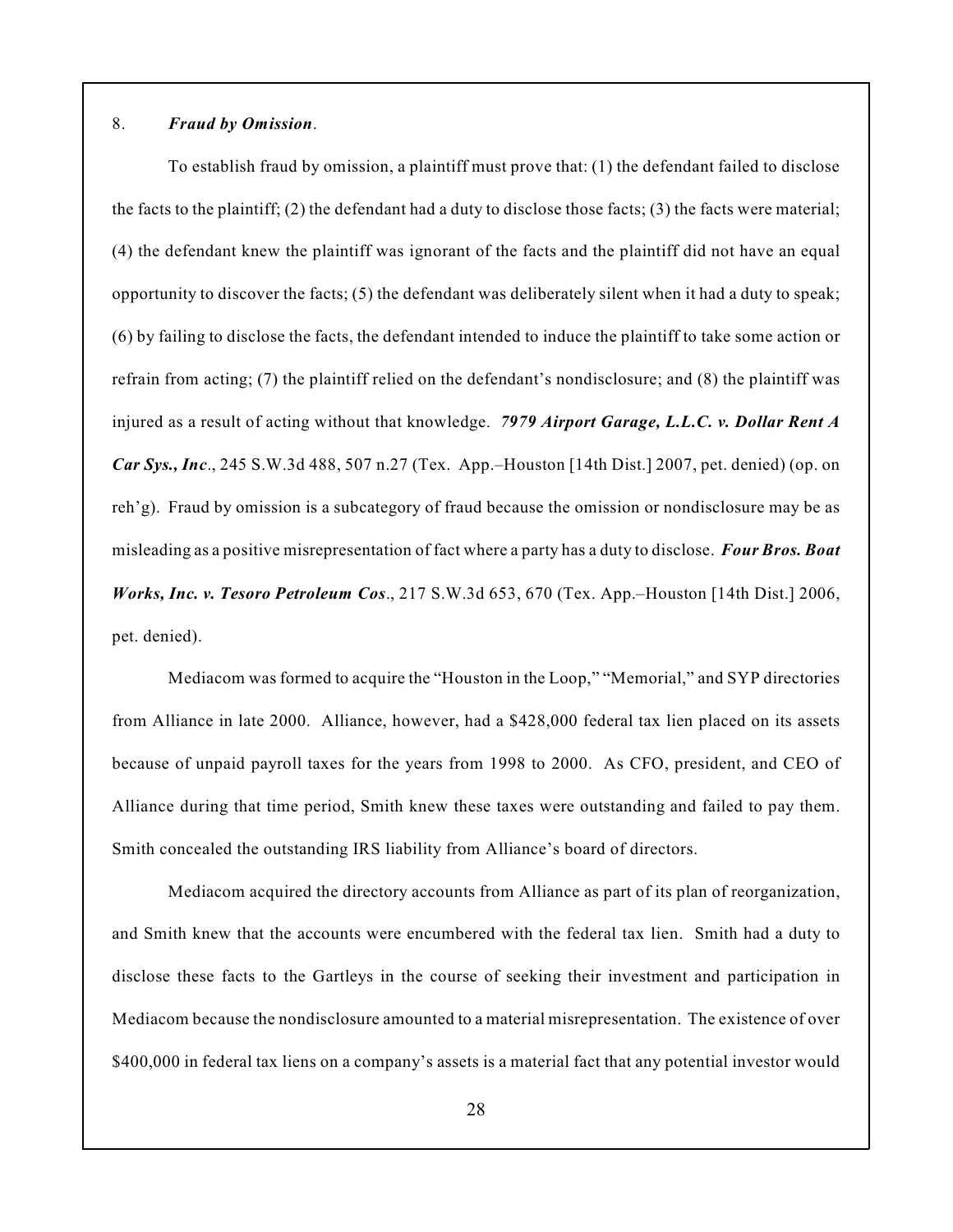### 8. *Fraud by Omission*.

To establish fraud by omission, a plaintiff must prove that: (1) the defendant failed to disclose the facts to the plaintiff; (2) the defendant had a duty to disclose those facts; (3) the facts were material; (4) the defendant knew the plaintiff was ignorant of the facts and the plaintiff did not have an equal opportunity to discover the facts;  $(5)$  the defendant was deliberately silent when it had a duty to speak; (6) by failing to disclose the facts, the defendant intended to induce the plaintiff to take some action or refrain from acting; (7) the plaintiff relied on the defendant's nondisclosure; and (8) the plaintiff was injured as a result of acting without that knowledge. *7979 Airport Garage, L.L.C. v. Dollar Rent A Car Sys., Inc*., 245 S.W.3d 488, 507 n.27 (Tex. App.–Houston [14th Dist.] 2007, pet. denied) (op. on reh'g). Fraud by omission is a subcategory of fraud because the omission or nondisclosure may be as misleading as a positive misrepresentation of fact where a party has a duty to disclose. *Four Bros. Boat Works, Inc. v. Tesoro Petroleum Cos*., 217 S.W.3d 653, 670 (Tex. App.–Houston [14th Dist.] 2006, pet. denied).

Mediacom was formed to acquire the "Houston in the Loop," "Memorial," and SYP directories from Alliance in late 2000. Alliance, however, had a \$428,000 federal tax lien placed on its assets because of unpaid payroll taxes for the years from 1998 to 2000. As CFO, president, and CEO of Alliance during that time period, Smith knew these taxes were outstanding and failed to pay them. Smith concealed the outstanding IRS liability from Alliance's board of directors.

Mediacom acquired the directory accounts from Alliance as part of its plan of reorganization, and Smith knew that the accounts were encumbered with the federal tax lien. Smith had a duty to disclose these facts to the Gartleys in the course of seeking their investment and participation in Mediacom because the nondisclosure amounted to a material misrepresentation. The existence of over \$400,000 in federal tax liens on a company's assets is a material fact that any potential investor would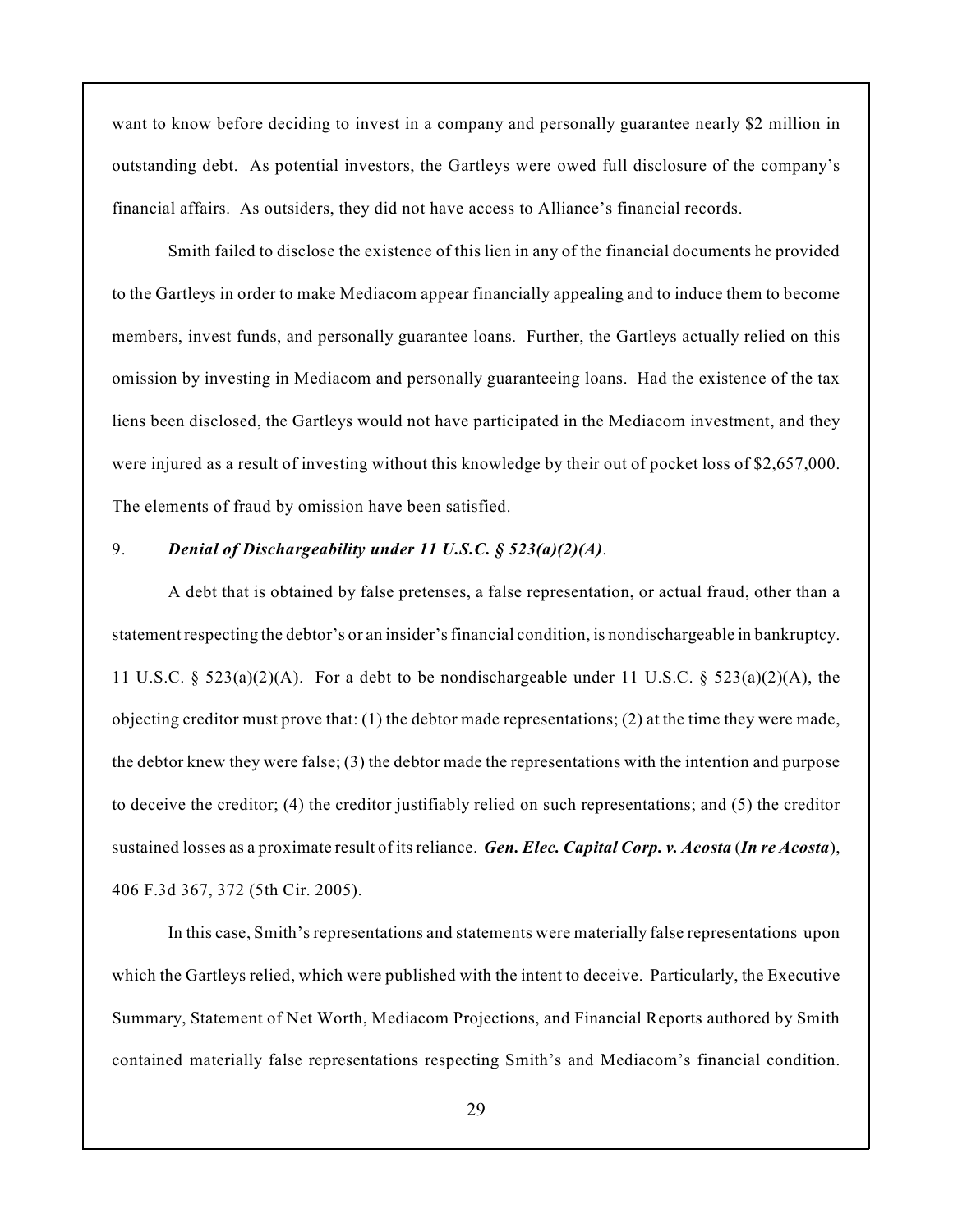want to know before deciding to invest in a company and personally guarantee nearly \$2 million in outstanding debt. As potential investors, the Gartleys were owed full disclosure of the company's financial affairs. As outsiders, they did not have access to Alliance's financial records.

Smith failed to disclose the existence of this lien in any of the financial documents he provided to the Gartleys in order to make Mediacom appear financially appealing and to induce them to become members, invest funds, and personally guarantee loans. Further, the Gartleys actually relied on this omission by investing in Mediacom and personally guaranteeing loans. Had the existence of the tax liens been disclosed, the Gartleys would not have participated in the Mediacom investment, and they were injured as a result of investing without this knowledge by their out of pocket loss of \$2,657,000. The elements of fraud by omission have been satisfied.

# 9. *Denial of Dischargeability under 11 U.S.C. § 523(a)(2)(A)*.

A debt that is obtained by false pretenses, a false representation, or actual fraud, other than a statement respecting the debtor's or an insider's financial condition, is nondischargeable in bankruptcy. 11 U.S.C. §  $523(a)(2)(A)$ . For a debt to be nondischargeable under 11 U.S.C. §  $523(a)(2)(A)$ , the objecting creditor must prove that: (1) the debtor made representations; (2) at the time they were made, the debtor knew they were false; (3) the debtor made the representations with the intention and purpose to deceive the creditor; (4) the creditor justifiably relied on such representations; and (5) the creditor sustained losses as a proximate result of itsreliance. *Gen. Elec. Capital Corp. v. Acosta* (*In re Acosta*), 406 F.3d 367, 372 (5th Cir. 2005).

In this case, Smith's representations and statements were materially false representations upon which the Gartleys relied, which were published with the intent to deceive. Particularly, the Executive Summary, Statement of Net Worth, Mediacom Projections, and Financial Reports authored by Smith contained materially false representations respecting Smith's and Mediacom's financial condition.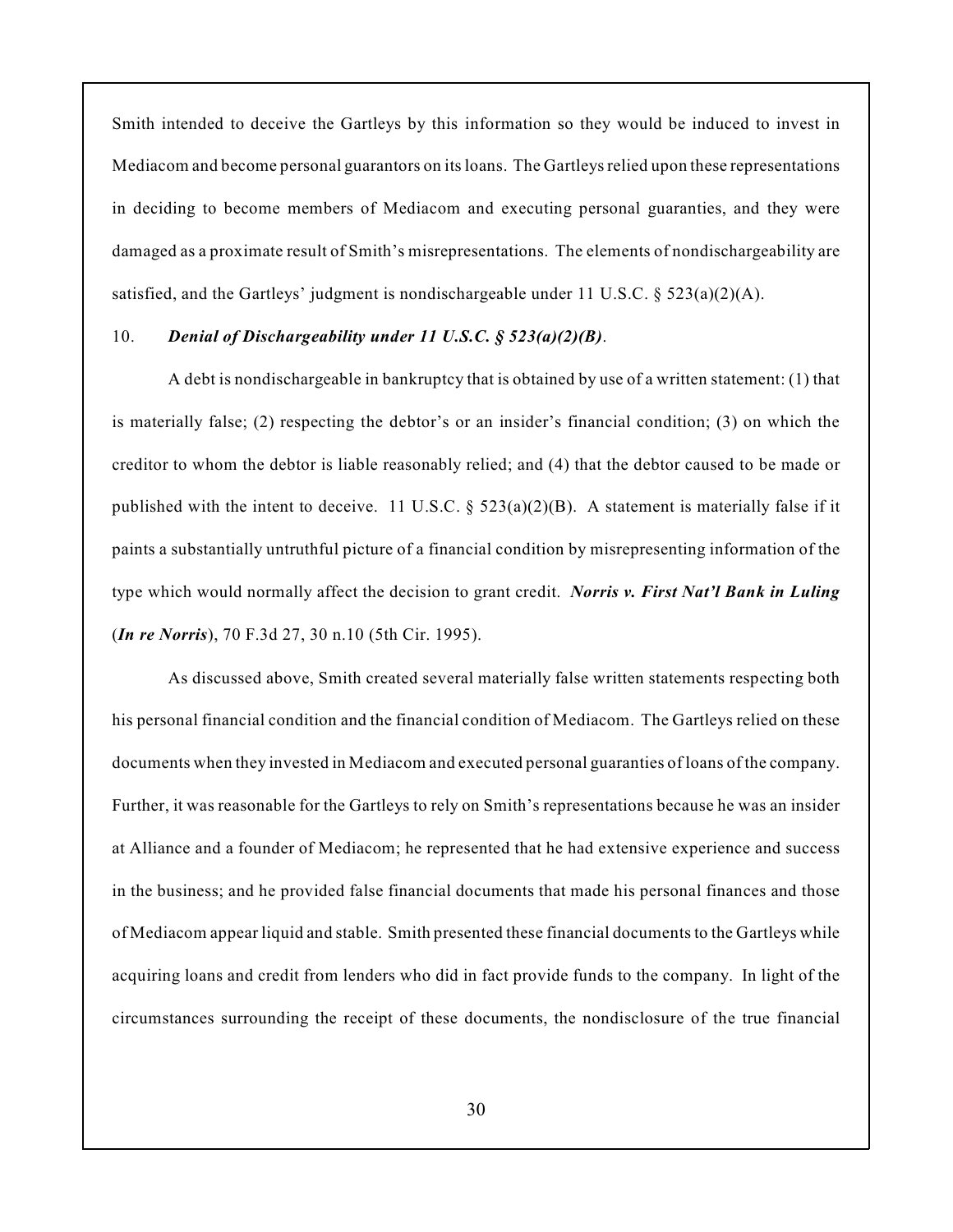Smith intended to deceive the Gartleys by this information so they would be induced to invest in Mediacom and become personal guarantors on its loans. The Gartleys relied upon these representations in deciding to become members of Mediacom and executing personal guaranties, and they were damaged as a proximate result of Smith's misrepresentations. The elements of nondischargeability are satisfied, and the Gartleys' judgment is nondischargeable under 11 U.S.C.  $\S$  523(a)(2)(A).

# 10. *Denial of Dischargeability under 11 U.S.C. § 523(a)(2)(B)*.

A debt is nondischargeable in bankruptcy that is obtained by use of a written statement: (1) that is materially false; (2) respecting the debtor's or an insider's financial condition; (3) on which the creditor to whom the debtor is liable reasonably relied; and (4) that the debtor caused to be made or published with the intent to deceive. 11 U.S.C.  $\S$  523(a)(2)(B). A statement is materially false if it paints a substantially untruthful picture of a financial condition by misrepresenting information of the type which would normally affect the decision to grant credit. *Norris v. First Nat'l Bank in Luling* (*In re Norris*), 70 F.3d 27, 30 n.10 (5th Cir. 1995).

As discussed above, Smith created several materially false written statements respecting both his personal financial condition and the financial condition of Mediacom. The Gartleys relied on these documents when they invested in Mediacom and executed personal guaranties of loans of the company. Further, it was reasonable for the Gartleys to rely on Smith's representations because he was an insider at Alliance and a founder of Mediacom; he represented that he had extensive experience and success in the business; and he provided false financial documents that made his personal finances and those of Mediacom appear liquid and stable. Smith presented these financial documents to the Gartleys while acquiring loans and credit from lenders who did in fact provide funds to the company. In light of the circumstances surrounding the receipt of these documents, the nondisclosure of the true financial